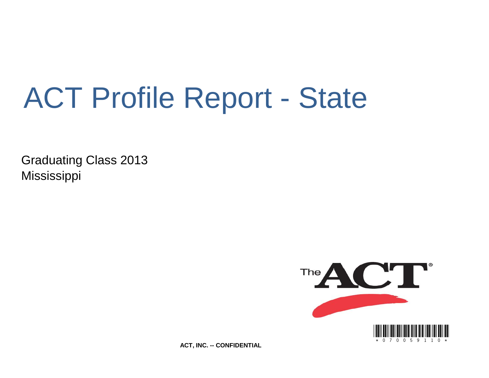# ACT Profile Report - State

Graduating Class 2013 Mississippi



**ACT, INC. -- CONFIDENTIAL**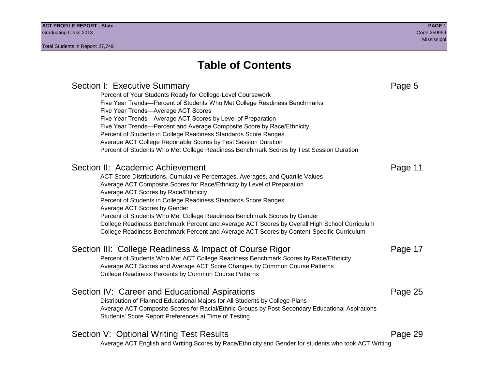Section I: Executive Summary **Page 5** and the section I: Executive Summary Percent of Your Students Ready for College-Level Coursework Five Year Trends—Percent of Students Who Met College Readiness Benchmarks Five Year Trends—Average ACT Scores Five Year Trends—Average ACT Scores by Level of Preparation Five Year Trends—Percent and Average Composite Score by Race/Ethnicity Percent of Students in College Readiness Standards Score Ranges Average ACT College Reportable Scores by Test Session Duration Percent of Students Who Met College Readiness Benchmark Scores by Test Session Duration Section II: Academic Achievement **Page 11** Page 11 ACT Score Distributions, Cumulative Percentages, Averages, and Quartile Values Average ACT Composite Scores for Race/Ethnicity by Level of Preparation Average ACT Scores by Race/Ethnicity Percent of Students in College Readiness Standards Score Ranges Average ACT Scores by Gender Percent of Students Who Met College Readiness Benchmark Scores by Gender College Readiness Benchmark Percent and Average ACT Scores by Overall High School Curriculum College Readiness Benchmark Percent and Average ACT Scores by Content-Specific Curriculum Section III: College Readiness & Impact of Course Rigor Page 17 Percent of Students Who Met ACT College Readiness Benchmark Scores by Race/Ethnicity Average ACT Scores and Average ACT Score Changes by Common Course Patterns College Readiness Percents by Common Course Patterns Section IV: Career and Educational Aspirations **Page 25** Page 25 Distribution of Planned Educational Majors for All Students by College Plans Average ACT Composite Scores for Racial/Ethnic Groups by Post-Secondary Educational Aspirations Students' Score Report Preferences at Time of Testing Section V: Optional Writing Test Results **Page 29** Page 29 Average ACT English and Writing Scores by Race/Ethnicity and Gender for students who took ACT Writing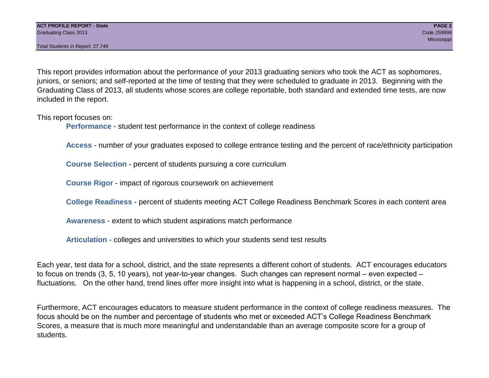Total Students in Report: 27,749

This report provides information about the performance of your 2013 graduating seniors who took the ACT as sophomores, juniors, or seniors; and self-reported at the time of testing that they were scheduled to graduate in 2013. Beginning with the Graduating Class of 2013, all students whose scores are college reportable, both standard and extended time tests, are now included in the report.

This report focuses on:

**Performance** - student test performance in the context of college readiness

**Access** - number of your graduates exposed to college entrance testing and the percent of race/ethnicity participation

**Course Selection** - percent of students pursuing a core curriculum

**Course Rigor** - impact of rigorous coursework on achievement

**College Readiness** - percent of students meeting ACT College Readiness Benchmark Scores in each content area

**Awareness** - extent to which student aspirations match performance

**Articulation** - colleges and universities to which your students send test results

Each year, test data for a school, district, and the state represents a different cohort of students. ACT encourages educators to focus on trends (3, 5, 10 years), not year-to-year changes. Such changes can represent normal – even expected – fluctuations. On the other hand, trend lines offer more insight into what is happening in a school, district, or the state.

Furthermore, ACT encourages educators to measure student performance in the context of college readiness measures. The focus should be on the number and percentage of students who met or exceeded ACT's College Readiness Benchmark Scores, a measure that is much more meaningful and understandable than an average composite score for a group of students.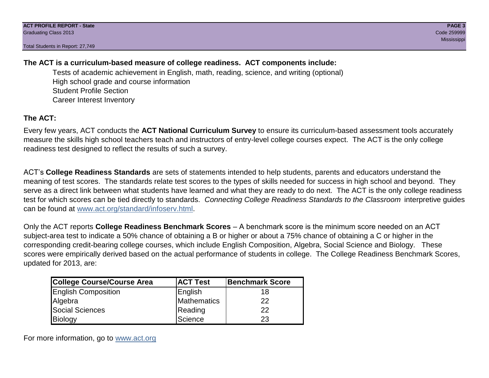Total Students in Report: 27,749

### **The ACT is a curriculum-based measure of college readiness. ACT components include:**

Tests of academic achievement in English, math, reading, science, and writing (optional) High school grade and course information Student Profile Section Career Interest Inventory

### **The ACT:**

Every few years, ACT conducts the **ACT National Curriculum Survey** to ensure its curriculum-based assessment tools accurately measure the skills high school teachers teach and instructors of entry-level college courses expect. The ACT is the only college readiness test designed to reflect the results of such a survey.

ACT's **College Readiness Standards** are sets of statements intended to help students, parents and educators understand the meaning of test scores. The standards relate test scores to the types of skills needed for success in high school and beyond. They serve as a direct link between what students have learned and what they are ready to do next. The ACT is the only college readiness test for which scores can be tied directly to standards. *Connecting College Readiness Standards to the Classroom* interpretive guides can be found at www.act.org/standard/infoserv.html.

Only the ACT reports **College Readiness Benchmark Scores** – A benchmark score is the minimum score needed on an ACT subject-area test to indicate a 50% chance of obtaining a B or higher or about a 75% chance of obtaining a C or higher in the corresponding credit-bearing college courses, which include English Composition, Algebra, Social Science and Biology. These scores were empirically derived based on the actual performance of students in college. The College Readiness Benchmark Scores, updated for 2013, are:

| College Course/Course Area | <b>ACT Test</b> | <b>Benchmark Score</b> |
|----------------------------|-----------------|------------------------|
| <b>English Composition</b> | English         | 18                     |
| Algebra                    | Mathematics     | 22                     |
| <b>Social Sciences</b>     | Reading         | 22                     |
| Biology                    | Science         | 23                     |

For more information, go to www.act.org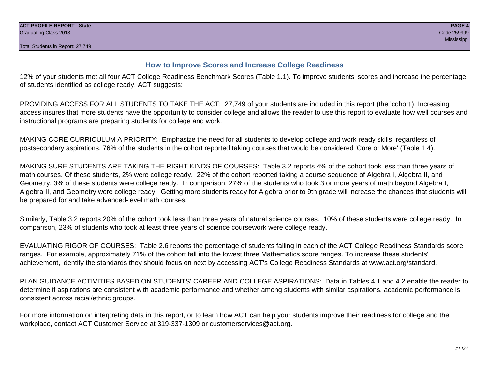#### **How to Improve Scores and Increase College Readiness**

12% of your students met all four ACT College Readiness Benchmark Scores (Table 1.1). To improve students' scores and increase the percentage of students identified as college ready, ACT suggests:

PROVIDING ACCESS FOR ALL STUDENTS TO TAKE THE ACT: 27,749 of your students are included in this report (the 'cohort'). Increasing access insures that more students have the opportunity to consider college and allows the reader to use this report to evaluate how well courses and instructional programs are preparing students for college and work.

MAKING CORE CURRICULUM A PRIORITY: Emphasize the need for all students to develop college and work ready skills, regardless of postsecondary aspirations. 76% of the students in the cohort reported taking courses that would be considered 'Core or More' (Table 1.4).

MAKING SURE STUDENTS ARE TAKING THE RIGHT KINDS OF COURSES: Table 3.2 reports 4% of the cohort took less than three years of math courses. Of these students, 2% were college ready. 22% of the cohort reported taking a course sequence of Algebra I, Algebra II, and Geometry. 3% of these students were college ready. In comparison, 27% of the students who took 3 or more years of math beyond Algebra I, Algebra II, and Geometry were college ready. Getting more students ready for Algebra prior to 9th grade will increase the chances that students will be prepared for and take advanced-level math courses.

Similarly, Table 3.2 reports 20% of the cohort took less than three years of natural science courses. 10% of these students were college ready. In comparison, 23% of students who took at least three years of science coursework were college ready.

EVALUATING RIGOR OF COURSES: Table 2.6 reports the percentage of students falling in each of the ACT College Readiness Standards score ranges. For example, approximately 71% of the cohort fall into the lowest three Mathematics score ranges. To increase these students' achievement, identify the standards they should focus on next by accessing ACT's College Readiness Standards at www.act.org/standard.

PLAN GUIDANCE ACTIVITIES BASED ON STUDENTS' CAREER AND COLLEGE ASPIRATIONS: Data in Tables 4.1 and 4.2 enable the reader to determine if aspirations are consistent with academic performance and whether among students with similar aspirations, academic performance is consistent across racial/ethnic groups.

For more information on interpreting data in this report, or to learn how ACT can help your students improve their readiness for college and the workplace, contact ACT Customer Service at 319-337-1309 or customerservices@act.org.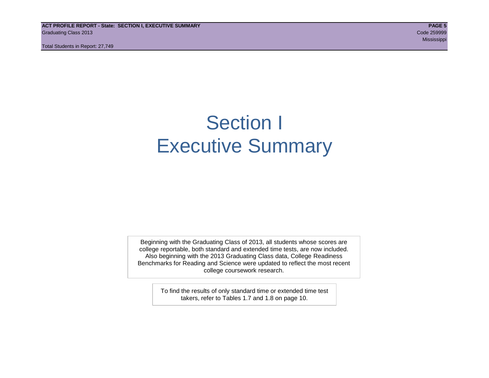**ACT PROFILE REPORT - State: SECTION I, EXECUTIVE SUMMARY PAGE 5** Graduating Class 2013 Code 259999

Total Students in Report: 27,749

Mississippi (1999) - Mississippi (1999) - Mississippi (1999) - Mississippi (1999) - Mississippi (1999) - Missi

## Section I Executive Summary

Beginning with the Graduating Class of 2013, all students whose scores are college reportable, both standard and extended time tests, are now included. Also beginning with the 2013 Graduating Class data, College Readiness Benchmarks for Reading and Science were updated to reflect the most recent college coursework research.

> To find the results of only standard time or extended time test takers, refer to Tables 1.7 and 1.8 on page 10.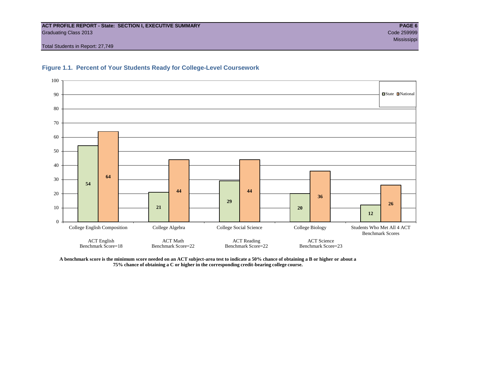#### **ACT PROFILE REPORT - State: SECTION I, EXECUTIVE SUMMARY PAGE 6** Graduating Class 2013 Code 259999

Total Students in Report: 27,749



#### **Figure 1.1. Percent of Your Students Ready for College-Level Coursework**

**A benchmark score is the minimum score needed on an ACT subject-area test to indicate a 50% chance of obtaining a B or higher or about a 75% chance of obtaining a C or higher in the corresponding credit-bearing college course.**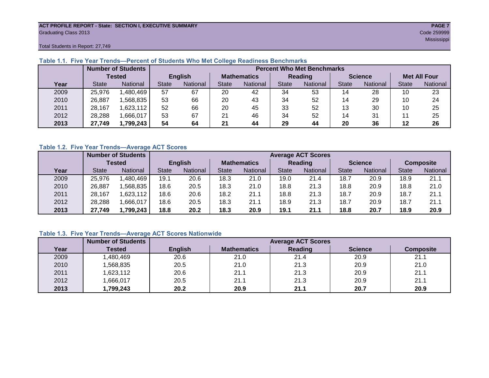#### **ACT PROFILE REPORT - State: SECTION I, EXECUTIVE SUMMARY PAGE 7** Graduating Class 2013 Code 259999

Mississippi (1999) - Mississippi (1999) - Mississippi (1999) - Mississippi (1999) - Mississippi (1999) - Missi

Total Students in Report: 27,749

|      |               | <b>Number of Students</b> |                |          |                    | <b>Percent Who Met Benchmarks</b> |              |          |                |          |                     |          |  |  |
|------|---------------|---------------------------|----------------|----------|--------------------|-----------------------------------|--------------|----------|----------------|----------|---------------------|----------|--|--|
|      | <b>Tested</b> |                           | <b>English</b> |          | <b>Mathematics</b> |                                   | Reading      |          | <b>Science</b> |          | <b>Met All Four</b> |          |  |  |
| Year | <b>State</b>  | <b>National</b>           | <b>State</b>   | National | State              | National                          | <b>State</b> | National | <b>State</b>   | National | <b>State</b>        | National |  |  |
| 2009 | 25,976        | .480,469                  | 57             | 67       | 20                 | 42                                | 34           | 53       | 14             | 28       | 10                  | 23       |  |  |
| 2010 | 26,887        | ,568,835                  | 53             | 66       | 20                 | 43                                | 34           | 52       | 14             | 29       | 10                  | 24       |  |  |
| 2011 | 28,167        | .623,112                  | 52             | 66       | 20                 | 45                                | 33           | 52       | 13             | 30       | 10                  | 25       |  |  |
| 2012 | 28,288        | .666,017                  | 53             | 67       | 21                 | 46                                | 34           | 52       | 14             | 31       |                     | 25       |  |  |
| 2013 | 27,749        | 1,799,243                 | 54             | 64       | 21                 | 44                                | 29           | 44       | 20             | 36       | 12                  | 26       |  |  |

#### **Table 1.1. Five Year Trends—Percent of Students Who Met College Readiness Benchmarks**

#### **Table 1.2. Five Year Trends—Average ACT Scores**

|      |              | <b>Number of Students</b> |                |          |                    | <b>Average ACT Scores</b> |                |                 |                |          |                  |          |  |
|------|--------------|---------------------------|----------------|----------|--------------------|---------------------------|----------------|-----------------|----------------|----------|------------------|----------|--|
|      |              | Tested                    | <b>English</b> |          | <b>Mathematics</b> |                           | <b>Reading</b> |                 | <b>Science</b> |          | <b>Composite</b> |          |  |
| Year | <b>State</b> | <b>National</b>           | <b>State</b>   | National | State              | National                  | State          | <b>National</b> | <b>State</b>   | National | <b>State</b>     | National |  |
| 2009 | 25,976       | .480,469                  | 19.1           | 20.6     | 18.3               | 21.0                      | 19.0           | 21.4            | 18.7           | 20.9     | 18.9             | 21.1     |  |
| 2010 | 26,887       | .568.835                  | 18.6           | 20.5     | 18.3               | 21.0                      | 18.8           | 21.3            | 18.8           | 20.9     | 18.8             | 21.0     |  |
| 2011 | 28,167       | .623,112                  | 18.6           | 20.6     | 18.2               | 21.1                      | 18.8           | 21.3            | 18.7           | 20.9     | 18.7             | 21.1     |  |
| 2012 | 28,288       | .666,017                  | 18.6           | 20.5     | 18.3               | 21.1                      | 18.9           | 21.3            | 18.7           | 20.9     | 18.7             | 21.1     |  |
| 2013 | 27,749       | 1,799,243                 | 18.8           | 20.2     | 18.3               | 20.9                      | 19.1           | 21.1            | 18.8           | 20.7     | 18.9             | 20.9     |  |

#### **Table 1.3. Five Year Trends—Average ACT Scores Nationwide**

|      | <b>Number of Students</b> |                | <b>Average ACT Scores</b> |         |                |                  |  |  |  |  |  |
|------|---------------------------|----------------|---------------------------|---------|----------------|------------------|--|--|--|--|--|
| Year | Tested                    | <b>English</b> | <b>Mathematics</b>        | Reading | <b>Science</b> | <b>Composite</b> |  |  |  |  |  |
| 2009 | ,480,469                  | 20.6           | 21.0                      | 21.4    | 20.9           | 21.1             |  |  |  |  |  |
| 2010 | ,568,835                  | 20.5           | 21.0                      | 21.3    | 20.9           | 21.0             |  |  |  |  |  |
| 2011 | ,623,112                  | 20.6           | 21.1                      | 21.3    | 20.9           | 21.1             |  |  |  |  |  |
| 2012 | ,666,017                  | 20.5           | 21.1                      | 21.3    | 20.9           | 21.1             |  |  |  |  |  |
| 2013 | 1,799,243                 | 20.2           | 20.9                      | 21.1    | 20.7           | 20.9             |  |  |  |  |  |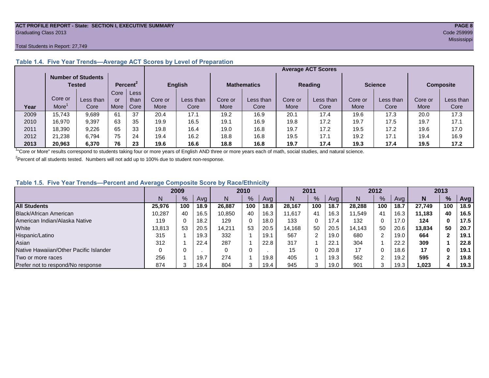#### **ACT PROFILE REPORT - State: SECTION I, EXECUTIVE SUMMARY PAGE 8** Graduating Class 2013 Code 259999

#### Total Students in Report: 27,749

|      |                                     |           |                      |      |             | <b>Average ACT Scores</b> |         |                    |         |                |         |                |         |                  |  |
|------|-------------------------------------|-----------|----------------------|------|-------------|---------------------------|---------|--------------------|---------|----------------|---------|----------------|---------|------------------|--|
|      | <b>Number of Students</b><br>Tested |           | Percent <sup>2</sup> |      |             | <b>English</b>            |         | <b>Mathematics</b> |         | <b>Reading</b> |         | <b>Science</b> |         | <b>Composite</b> |  |
|      |                                     |           | Core                 | Less |             |                           |         |                    |         |                |         |                |         |                  |  |
|      | Core or                             | Less than | or                   | than | Core or     | Less than                 | Core or | Less than          | Core or | Less than      | Core or | Less than      | Core or | Less than        |  |
| Year | More                                | Core      | More                 | Core | <b>More</b> | Core                      | More    | Core               | More    | Core           | More    | Core           | More    | Core             |  |
| 2009 | 15,743                              | 9,689     | 61                   | 37   | 20.4        | 17.1                      | 19.2    | 16.9               | 20.1    | 17.4           | 19.6    | 17.3           | 20.0    | 17.3             |  |
| 2010 | 16,970                              | 9,397     | 63                   | 35   | 19.9        | 16.5                      | 19.1    | 16.9               | 19.8    | 17.2           | 19.7    | 17.5           | 19.7    | 17.1             |  |
| 2011 | 18,390                              | 9,226     | 65                   | 33   | 19.8        | 16.4                      | 19.0    | 16.8               | 19.7    | 17.2           | 19.5    | 17.2           | 19.6    | 17.0             |  |
| 2012 | 21,238                              | 6.794     | 75                   | 24   | 19.4        | 16.2                      | 18.8    | 16.8               | 19.5    | 17.1           | 19.2    | 17.1           | 19.4    | 16.9             |  |
| 2013 | 20,963                              | 6.370     | 76                   | 23   | 19.6        | 16.6                      | 18.8    | 16.8               | 19.7    | 17.4           | 19.3    | 17.4           | 19.5    | 17.2             |  |

#### **Table 1.4. Five Year Trends—Average ACT Scores by Level of Preparation**

<sup>1</sup>"Core or More" results correspond to students taking four or more years of English AND three or more years each of math, social studies, and natural science.

 $2$ Percent of all students tested. Numbers will not add up to 100% due to student non-response.

#### **Table 1.5. Five Year Trends—Percent and Average Composite Score by Race/Ethnicity**

|                                        |        | 2009 |      |        | 2010          |      | 2011   |     | 2012 |        |         | 2013 |        |               |      |
|----------------------------------------|--------|------|------|--------|---------------|------|--------|-----|------|--------|---------|------|--------|---------------|------|
|                                        |        | $\%$ | Avg  | N      | $\frac{9}{6}$ | Avg  | N      | %   | Avg  | N      | %       | Ava  | N      | $\frac{9}{6}$ | Avg  |
| <b>All Students</b>                    | 25.976 | 100  | 18.9 | 26.887 | 100           | 18.8 | 28.167 | 100 | 18.7 | 28.288 | 100     | 18.7 | 27.749 | 100           | 18.9 |
| Black/African American                 | 10.287 | 40   | 16.5 | 10.850 | 40            | 16.3 | 11.617 | 41  | 16.3 | 11.549 | 41      | 16.3 | 11.183 | 40            | 16.5 |
| American Indian/Alaska Native          | 119    |      | 18.2 | 129    | 0             | 18.0 | 133    | 0   | 17.4 | 132    |         | 17.0 | 124    | 0             | 17.5 |
| White                                  | 13.813 | 53   | 20.5 | 14,211 | 53            | 20.5 | 14.168 | 50  | 20.5 | 14,143 | 50      | 20.6 | 13.834 | 50            | 20.7 |
| Hispanic/Latino                        | 315    |      | 19.3 | 332    |               | 19.1 | 567    |     | 19.0 | 680    |         | 19.0 | 664    |               | 19.1 |
| Asian                                  | 312    |      | 22.4 | 287    |               | 22.8 | 317    |     | 22.7 | 304    |         | 22.2 | 309    |               | 22.8 |
| Native Hawaiian/Other Pacific Islander |        |      |      |        | 0             |      | 15     |     | 20.8 | 17     |         | 18.6 | 17     | 0             | 19.1 |
| Two or more races                      | 256    |      | 19.7 | 274    |               | 19.8 | 405    |     | 19.3 | 562    | ົ       | 19.2 | 595    |               | 19.8 |
| Prefer not to respond/No response      | 874    |      | 19.4 | 804    | ີ             | 19.4 | 945    | 3   | 19.0 | 901    | ົ<br>۰J | 19.3 | 1,023  |               | 19.3 |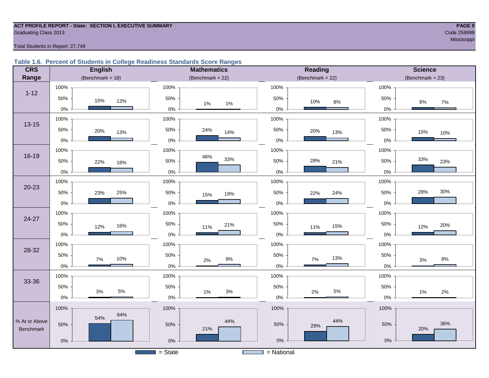## **ACT PROFILE REPORT - State: SECTION I, EXECUTIVE SUMMARY PAGE 9** Graduating Class 2013 Code 259999

#### Total Students in Report: 27,749

#### **Table 1.6. Percent of Students in College Readiness Standards Score Ranges**

| <b>CRS</b>    | <b>English</b>       | <b>Mathematics</b>           | <b>Reading</b>       | <b>Science</b>        |
|---------------|----------------------|------------------------------|----------------------|-----------------------|
| Range         | (Benchmark = $18$ )  | (Benchmark = $22$ )          | (Benchmark = $22$ )  | $(Benchmark = 23)$    |
|               | 100%                 | 100%                         | 100%                 | 100%                  |
| $1 - 12$      | 50%<br>15%<br>13%    | 50%<br>$1\%$<br>$1\%$        | 50%<br>10%<br>$8\%$  | 50%<br>$8\%$<br>$7\%$ |
|               | $0\%$                | $0\%$                        | $0\%$                | 0%                    |
| $13 - 15$     | 100%                 | 100%                         | 100%                 | 100%                  |
|               | 50%<br>20%<br>13%    | 50%<br>24%<br>14%            | 50%<br>20%<br>13%    | 50%<br>15%<br>10%     |
|               | $0\%$                | $0\%$                        | $0\%$                | 0%                    |
|               | 100%                 | 100%                         | 100%                 | 100%                  |
| $16 - 19$     | 50%<br>22%<br>18%    | 46%<br>33%<br>50%            | 28%<br>50%<br>21%    | 33%<br>50%<br>23%     |
|               | $0\%$                | $0\%$                        | $0\%$                | 0%                    |
|               | 100%                 | 100%                         | 100%                 | 100%                  |
| $20 - 23$     | 50%<br>25%<br>23%    | 50%<br>19%<br>15%            | 50%<br>24%<br>22%    | 30%<br>28%<br>50%     |
|               | $0\%$                | $0\%$                        | $0\%$                | 0%                    |
|               | 100%                 | 100%                         | 100%                 | 100%                  |
| 24-27         | 50%<br>16%<br>12%    | 50%<br>21%<br>11%            | 50%<br>15%<br>11%    | 50%<br>20%<br>12%     |
|               | $0\%$                | $0\%$                        | 0%                   | 0%                    |
|               | 100%                 | 100%                         | 100%                 | 100%                  |
| 28-32         | 50%<br>10%<br>7%     | 50%<br>$9\%$                 | 50%<br>13%<br>7%     | 50%<br>$8\%$          |
|               | $0\%$                | $2\%$<br>$0\%$               | $0\%$                | 3%<br>0%              |
|               | 100%                 | 100%                         | 100%                 | 100%                  |
| 33-36         | 50%                  | 50%                          | 50%                  | 50%                   |
|               | $5\%$<br>3%<br>$0\%$ | $3%$<br>1%<br>$0\%$          | $5\%$<br>2%<br>$0\%$ | 1%<br>2%<br>$0\%$     |
|               | 100%                 | 100%                         | 100%                 | 100%                  |
| % At or Above | 64%<br>54%           | 44%                          | 44%                  |                       |
| Benchmark     | 50%                  | 50%<br>21%                   | 50%<br>29%           | 36%<br>50%<br>20%     |
|               | $0\%$                | $0\%$                        | $0\%$                | $0\%$                 |
|               |                      | $=$ State<br><b>Contract</b> | $=$ National         |                       |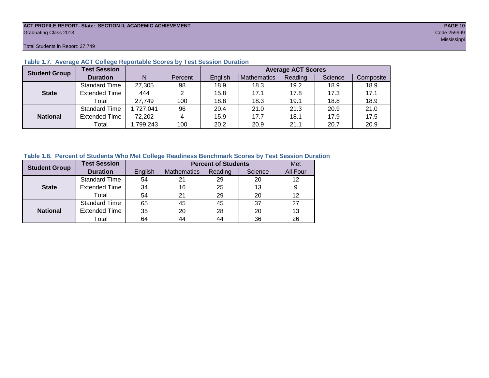### **ACT PROFILE REPORT- State: SECTION II, ACADEMIC ACHIEVEMENT PAGE 10** Graduating Class 2013 Code 259999

Total Students in Report: 27,749

| <b>Student Group</b> | <b>Test Session</b>  |           |         |         |             | <b>Average ACT Scores</b> |         |           |
|----------------------|----------------------|-----------|---------|---------|-------------|---------------------------|---------|-----------|
|                      | <b>Duration</b>      | N         | Percent | English | Mathematics | Reading                   | Science | Composite |
|                      | <b>Standard Time</b> | 27,305    | 98      | 18.9    | 18.3        | 19.2                      | 18.9    | 18.9      |
| <b>State</b>         | <b>Extended Time</b> | 444       | 2       | 15.8    | 17.1        | 17.8                      | 17.3    | 17.1      |
|                      | Total                | 27,749    | 100     | 18.8    | 18.3        | 19.1                      | 18.8    | 18.9      |
|                      | <b>Standard Time</b> | 1,727,041 | 96      | 20.4    | 21.0        | 21.3                      | 20.9    | 21.0      |
| <b>National</b>      | <b>Extended Time</b> | 72,202    | 4       | 15.9    | 17.7        | 18.1                      | 17.9    | 17.5      |
|                      | Total                | ,799,243  | 100     | 20.2    | 20.9        | 21.1                      | 20.7    | 20.9      |

#### **Table 1.7. Average ACT College Reportable Scores by Test Session Duration**

#### **Table 1.8. Percent of Students Who Met College Readiness Benchmark Scores by Test Session Duration**

| <b>Student Group</b> | <b>Test Session</b>  |         | <b>Percent of Students</b> |         |         |          |  |  |  |  |
|----------------------|----------------------|---------|----------------------------|---------|---------|----------|--|--|--|--|
|                      | <b>Duration</b>      | English | Mathematics                | Reading | Science | All Four |  |  |  |  |
|                      | <b>Standard Time</b> | 54      | 21                         | 29      | 20      | 12       |  |  |  |  |
| <b>State</b>         | <b>Extended Time</b> | 34      | 16                         | 25      | 13      | 9        |  |  |  |  |
|                      | Total                | 54      | 21                         | 29      | 20      | 12       |  |  |  |  |
|                      | <b>Standard Time</b> | 65      | 45                         | 45      | 37      | 27       |  |  |  |  |
| <b>National</b>      | <b>Extended Time</b> | 35      | 20                         | 28      | 20      | 13       |  |  |  |  |
|                      | Total                | 64      | 44                         | 44      | 36      | 26       |  |  |  |  |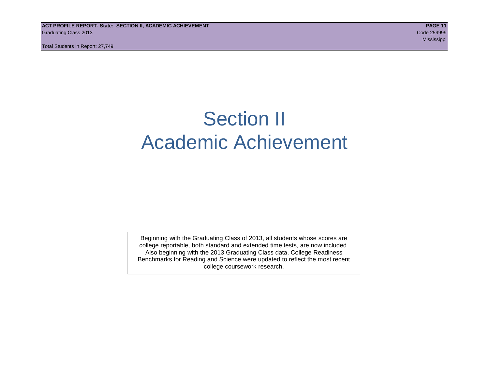**ACT PROFILE REPORT- State: SECTION II, ACADEMIC ACHIEVEMENT PAGE 11** Graduating Class 2013 Code 259999

Total Students in Report: 27,749

## Section II Academic Achievement

Beginning with the Graduating Class of 2013, all students whose scores are college reportable, both standard and extended time tests, are now included. Also beginning with the 2013 Graduating Class data, College Readiness Benchmarks for Reading and Science were updated to reflect the most recent college coursework research.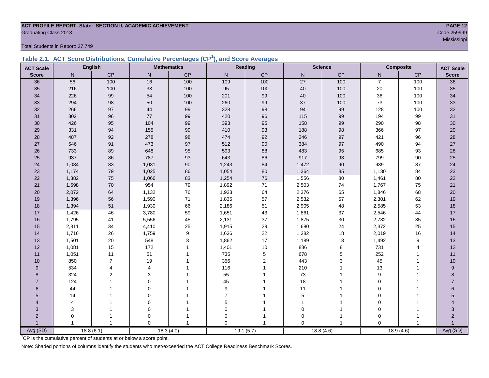### **ACT PROFILE REPORT- State: SECTION II, ACADEMIC ACHIEVEMENT PAGE 12** Graduating Class 2013 Code 259999

Total Students in Report: 27,749

|  | Table 2.1. ACT Score Distributions, Cumulative Percentages (CP <sup>1</sup> ), and Score Averages |  |  |  |
|--|---------------------------------------------------------------------------------------------------|--|--|--|
|  |                                                                                                   |  |  |  |

| <b>ACT Scale</b> |       | <b>English</b> |                | <b>Mathematics</b>        | Reading        |                |                 | <b>Science</b> |                | <b>Composite</b> | <b>ACT Scale</b> |
|------------------|-------|----------------|----------------|---------------------------|----------------|----------------|-----------------|----------------|----------------|------------------|------------------|
| <b>Score</b>     | N     | CP             | $\mathsf{N}$   | $\mathsf{CP}$             | ${\sf N}$      | CP             | ${\sf N}$       | CP             | N              | $\mathsf{CP}$    | <b>Score</b>     |
| 36               | 56    | 100            | 16             | 100                       | 109            | 100            | $\overline{27}$ | 100            | $\overline{7}$ | 100              | 36               |
| 35               | 216   | 100            | 33             | 100                       | 95             | 100            | $40\,$          | 100            | 20             | 100              | 35               |
| 34               | 226   | 99             | 54             | 100                       | 201            | 99             | 40              | 100            | 36             | 100              | 34               |
| 33               | 294   | 98             | 50             | 100                       | 260            | 99             | 37              | 100            | 73             | 100              | 33               |
| 32               | 266   | 97             | 44             | 99                        | 328            | 98             | 94              | 99             | 128            | 100              | $32\,$           |
| 31               | 302   | 96             | $77\,$         | 99                        | 420            | 96             | 115             | 99             | 194            | 99               | 31               |
| 30               | 426   | 95             | 104            | 99                        | 393            | 95             | 158             | 99             | 290            | 98               | 30               |
| 29               | 331   | 94             | 155            | 99                        | 410            | 93             | 188             | 98             | 366            | 97               | 29               |
| 28               | 487   | 92             | 278            | 98                        | 474            | 92             | 246             | 97             | 421            | 96               | 28               |
| 27               | 546   | 91             | 473            | $97\,$                    | 512            | 90             | 384             | 97             | 490            | 94               | $27\,$           |
| 26               | 733   | 89             | 648            | 95                        | 593            | 88             | 483             | 95             | 685            | 93               | 26               |
| 25               | 937   | 86             | 787            | 93                        | 643            | 86             | 917             | 93             | 799            | 90               | 25               |
| 24               | 1,034 | 83             | 1,031          | 90                        | 1,243          | 84             | 1,472           | 90             | 939            | 87               | 24               |
| 23               | 1,174 | 79             | 1,025          | 86                        | 1,054          | 80             | 1,364           | 85             | 1,130          | 84               | 23               |
| 22               | 1,382 | 75             | 1,066          | 83                        | 1,254          | 76             | 1,556           | $80\,$         | 1,461          | 80               | 22               |
| 21               | 1,698 | 70             | 954            | 79                        | 1,892          | 71             | 2,503           | 74             | 1,767          | 75               | 21               |
| 20               | 2,072 | 64             | 1,132          | 76                        | 1,923          | 64             | 2,376           | 65             | 1,846          | 68               | 20               |
| 19               | 1,396 | 56             | 1,590          | 71                        | 1,835          | 57             | 2,532           | 57             | 2,301          | 62               | 19               |
| 18               | 1,394 | 51             | 1,930          | 66                        | 2,186          | 51             | 2,905           | 48             | 2,585          | 53               | 18               |
| 17               | 1,426 | 46             | 3,780          | 59                        | 1,651          | 43             | 1,861           | 37             | 2,546          | 44               | 17               |
| 16               | 1,795 | 41             | 5,556          | 45                        | 2,131          | 37             | 1,875           | 30             | 2,732          | 35               | 16               |
| 15               | 2,311 | 34             | 4,410          | 25                        | 1,915          | 29             | 1,680           | 24             | 2,372          | 25               | 15               |
| 14               | 1,716 | 26             | 1,759          | $\boldsymbol{9}$          | 1,636          | 22             | 1,382           | 18             | 2,019          | 16               | 14               |
| 13               | 1,501 | $20\,$         | 548            | $\ensuremath{\mathsf{3}}$ | 1,862          | 17             | 1,189           | 13             | 1,492          | 9                | 13               |
| 12               | 1,081 | 15             | 172            | $\mathbf{1}$              | 1,401          | 10             | 886             | 8              | 731            | $\overline{4}$   | 12               |
| 11               | 1,051 | 11             | 51             |                           | 735            | 5              | 678             | 5              | 252            |                  | 11               |
| 10               | 850   | $\overline{7}$ | $19$           |                           | 356            | $\overline{2}$ | 443             | 3              | 45             | $\overline{1}$   | 10               |
| 9                | 534   | 4              | $\overline{4}$ |                           | 116            |                | 210             | 1              | 13             |                  | 9                |
| 8                | 324   | 2              | 3              |                           | 55             |                | 73              | 1              | 9              |                  | 8                |
| $\overline{7}$   | 124   |                | $\mathbf 0$    |                           | 45             |                | 18              |                | $\mathbf 0$    |                  | $\overline{7}$   |
| 6                | 44    |                | $\mathbf 0$    |                           | 9              |                | 11              | 1              | $\mathbf 0$    |                  | $6\phantom{.}$   |
| 5                | 14    |                | $\mathbf 0$    |                           | $\overline{7}$ |                | 5               |                | $\mathbf 0$    |                  | 5                |
| 4                | 4     |                | $\mathbf 0$    |                           | 5              |                |                 | 1              | $\mathbf 0$    |                  |                  |
| 3                | 3     |                | $\mathbf 0$    |                           | 0              |                | $\Omega$        | 1              | $\mathbf 0$    |                  | 3                |
| $\overline{2}$   | 0     | 1              | $\mathbf 0$    |                           | 0              |                | $\Omega$        | $\mathbf 1$    | $\mathbf 0$    |                  | $\overline{2}$   |
|                  |       | $\mathbf{1}$   | $\Omega$       | $\mathbf{1}$              | $\Omega$       |                | $\Omega$        |                | $\Omega$       | $\overline{1}$   |                  |
| Avg (SD)         |       | 18.8(6.1)      |                | 18.3(4.0)                 |                | 19.1(5.7)      |                 | 18.8(4.6)      |                | 18.9(4.6)        | Avg (SD)         |

<sup>1</sup>CP is the cumulative percent of students at or below a score point.

Note: Shaded portions of columns identify the students who met/exceeded the ACT College Readiness Benchmark Scores.

Mississippi (1999) - Mississippi (1999) - Mississippi (1999) - Mississippi (1999) - Mississippi (1999) - Missi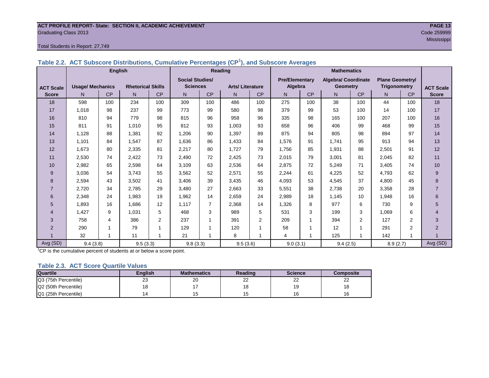## **ACT PROFILE REPORT- State: SECTION II, ACADEMIC ACHIEVEMENT PAGE 13** Graduating Class 2013 Code 259999

#### Total Students in Report: 27,749

| Table 2.2. ACT Subscore Distributions, Cumulative Percentages (CP <sup>1</sup> ), and Subscore Averages |  |
|---------------------------------------------------------------------------------------------------------|--|
|---------------------------------------------------------------------------------------------------------|--|

|                  | <b>English</b>          |     |                          |                | Reading                |     |                        |                | <b>Mathematics</b>    |     |                            |                |                        |                |                  |
|------------------|-------------------------|-----|--------------------------|----------------|------------------------|-----|------------------------|----------------|-----------------------|-----|----------------------------|----------------|------------------------|----------------|------------------|
|                  |                         |     |                          |                | <b>Social Studies/</b> |     |                        |                | <b>Pre/Elementary</b> |     | <b>Algebra/ Coordinate</b> |                | <b>Plane Geometry/</b> |                |                  |
| <b>ACT Scale</b> | <b>Usage/ Mechanics</b> |     | <b>Rhetorical Skills</b> |                | <b>Sciences</b>        |     | <b>Arts/Literature</b> |                | Algebra               |     | <b>Geometry</b>            |                | <b>Trigonometry</b>    |                | <b>ACT Scale</b> |
| <b>Score</b>     | N.                      | CP  | N                        | CP             | N                      | CP  | N                      | CP             | N <sub>1</sub>        | CP  | N                          | CP             | N                      | CP             | <b>Score</b>     |
| 18               | 598                     | 100 | 234                      | 100            | 309                    | 100 | 486                    | 100            | 275                   | 100 | 38                         | 100            | 44                     | 100            | 18               |
| 17               | 1,018                   | 98  | 237                      | 99             | 773                    | 99  | 580                    | 98             | 379                   | 99  | 53                         | 100            | 14                     | 100            | 17               |
| 16               | 810                     | 94  | 779                      | 98             | 815                    | 96  | 958                    | 96             | 335                   | 98  | 165                        | 100            | 207                    | 100            | 16               |
| 15               | 811                     | 91  | 1,010                    | 95             | 812                    | 93  | 1,003                  | 93             | 658                   | 96  | 406                        | 99             | 468                    | 99             | 15               |
| 14               | 1.128                   | 88  | 1,381                    | 92             | 1,206                  | 90  | 1,397                  | 89             | 875                   | 94  | 805                        | 98             | 894                    | 97             | 14               |
| 13               | 1,101                   | 84  | 1,547                    | 87             | 1,636                  | 86  | 1,433                  | 84             | 1,576                 | 91  | 1,741                      | 95             | 913                    | 94             | 13               |
| 12               | 1,673                   | 80  | 2,335                    | 81             | 2,217                  | 80  | 1,727                  | 79             | 1,756                 | 85  | 1,931                      | 88             | 2,501                  | 91             | 12               |
| 11               | 2,530                   | 74  | 2,422                    | 73             | 2,490                  | 72  | 2,425                  | 73             | 2,015                 | 79  | 3,001                      | 81             | 2,045                  | 82             | 11               |
| 10               | 2,982                   | 65  | 2,598                    | 64             | 3,109                  | 63  | 2,536                  | 64             | 2,875                 | 72  | 5,249                      | 71             | 3,405                  | 74             | 10               |
| 9                | 3,036                   | 54  | 3,743                    | 55             | 3,562                  | 52  | 2,571                  | 55             | 2,244                 | 61  | 4,225                      | 52             | 4,793                  | 62             | 9                |
| 8                | 2,594                   | 43  | 3,502                    | 41             | 3,406                  | 39  | 3,435                  | 46             | 4,093                 | 53  | 4,545                      | 37             | 4,800                  | 45             | $\bf 8$          |
| $\overline{7}$   | 2,720                   | 34  | 2,785                    | 29             | 3,480                  | 27  | 2,663                  | 33             | 5,551                 | 38  | 2,738                      | 20             | 3,358                  | 28             | $\overline{7}$   |
| 6                | 2,348                   | 24  | 1,983                    | 19             | 1,962                  | 14  | 2,659                  | 24             | 2,989                 | 18  | 1,145                      | 10             | 1,948                  | 16             | 6                |
| 5                | 1,893                   | 16  | 1,686                    | 12             | 1,117                  | 7   | 2,368                  | 14             | 1,326                 | 8   | 977                        | 6              | 730                    | 9              | 5                |
| $\overline{4}$   | 1,427                   | 9   | 1,031                    | 5              | 468                    | 3   | 989                    | 5              | 531                   | 3   | 199                        | 3              | 1,069                  | 6              | $\overline{4}$   |
| 3                | 758                     | 4   | 386                      | $\overline{2}$ | 237                    | 1   | 391                    | $\overline{2}$ | 209                   | 1   | 394                        | $\overline{2}$ | 127                    | 2              | 3                |
| $\overline{2}$   | 290                     |     | 79                       |                | 129                    |     | 120                    |                | 58                    |     | 12                         |                | 291                    | $\overline{2}$ | 2                |
|                  | 32                      | 1   | 11                       | $\overline{ }$ | 21                     | 1   | 8                      | 1              | 4                     | 1   | 125                        | 1              | 142                    | $\overline{ }$ |                  |
| Avg (SD)         | 9.4(3.8)                |     | 9.5(3.3)                 |                | 9.8(3.3)               |     | 9.5(3.6)               |                | 9.0(3.1)              |     | 9.4(2.5)                   |                | 8.9(2.7)               |                | Avg (SD)         |

<sup>1</sup>CP is the cumulative percent of students at or below a score point.

#### **Table 2.3. ACT Score Quartile Values**

| <b>Quartile</b>      | <b>Enalish</b> | <b>Mathematics</b> | Reading      | <b>Science</b> | Composite |
|----------------------|----------------|--------------------|--------------|----------------|-----------|
| Q3 (75th Percentile) | 23             | 20                 | $\sim$<br>∠∠ | nn<br>--       | __        |
| Q2 (50th Percentile) |                |                    |              | 19             |           |
| Q1 (25th Percentile) |                |                    |              | 16             |           |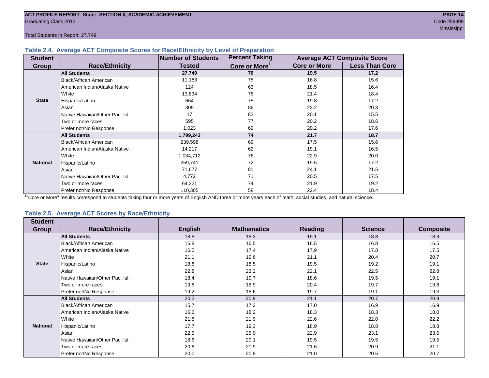Total Students in Report: 27,749

#### **Table 2.4. Average ACT Composite Scores for Race/Ethnicity by Level of Preparation**

| <b>Student</b>  |                                 | <b>Number of Students</b> | <b>Percent Taking</b>     |                     | <b>Average ACT Composite Score</b> |
|-----------------|---------------------------------|---------------------------|---------------------------|---------------------|------------------------------------|
| <b>Group</b>    | <b>Race/Ethnicity</b>           | <b>Tested</b>             | Core or More <sup>1</sup> | <b>Core or More</b> | <b>Less Than Core</b>              |
|                 | <b>All Students</b>             | 27,749                    | 76                        | 19.5                | 17.2                               |
|                 | Black/African American          | 11,183                    | 75                        | 16.8                | 15.6                               |
|                 | American Indian/Alaska Native   | 124                       | 63                        | 18.5                | 16.4                               |
|                 | <b>White</b>                    | 13,834                    | 76                        | 21.4                | 18.4                               |
| <b>State</b>    | Hispanic/Latino                 | 664                       | 75                        | 19.8                | 17.2                               |
|                 | Asian                           | 309                       | 86                        | 23.2                | 20.3                               |
|                 | Native Hawaiian/Other Pac. Isl. | 17                        | 82                        | 20.1                | 15.5                               |
|                 | I Two or more races             | 595                       | 77                        | 20.2                | 18.6                               |
|                 | Prefer not/No Response          | 1,023                     | 69                        | 20.2                | 17.6                               |
|                 | <b>All Students</b>             | 1,799,243                 | 74                        | 21.7                | 18.7                               |
|                 | Black/African American          | 239,598                   | 69                        | 17.5                | 15.6                               |
|                 | American Indian/Alaska Native   | 14,217                    | 62                        | 19.1                | 16.5                               |
|                 | <b>White</b>                    | 1,034,712                 | 76                        | 22.9                | 20.0                               |
| <b>National</b> | Hispanic/Latino                 | 259,741                   | 72                        | 19.5                | 17.2                               |
|                 | Asian                           | 71,677                    | 81                        | 24.1                | 21.5                               |
|                 | Native Hawaiian/Other Pac. Isl. | 4,772                     | 71                        | 20.5                | 17.5                               |
|                 | I Two or more races             | 64,221                    | 74                        | 21.9                | 19.2                               |
|                 | Prefer not/No Response          | 110,305                   | 58                        | 22.4                | 18.4                               |

<sup>1</sup>"Core or More" results correspond to students taking four or more years of English AND three or more years each of math, social studies, and natural science.

#### **Table 2.5. Average ACT Scores by Race/Ethnicity**

| <b>Student</b>  |                                 |                |                    |                |                |                  |
|-----------------|---------------------------------|----------------|--------------------|----------------|----------------|------------------|
| Group           | <b>Race/Ethnicity</b>           | <b>English</b> | <b>Mathematics</b> | <b>Reading</b> | <b>Science</b> | <b>Composite</b> |
|                 | <b>All Students</b>             | 18.8           | 18.3               | 19.1           | 18.8           | 18.9             |
|                 | Black/African American          | 15.8           | 16.5               | 16.5           | 16.8           | 16.5             |
|                 | American Indian/Alaska Native   | 16.5           | 17.4               | 17.9           | 17.8           | 17.5             |
|                 | White                           | 21.1           | 19.6               | 21.1           | 20.4           | 20.7             |
| <b>State</b>    | Hispanic/Latino                 | 18.8           | 18.5               | 19.5           | 19.2           | 19.1             |
|                 | Asian                           | 22.8           | 23.2               | 22.1           | 22.5           | 22.8             |
|                 | Native Hawaiian/Other Pac. Isl. | 18.4           | 19.7               | 18.6           | 19.5           | 19.1             |
|                 | Two or more races               | 19.8           | 18.9               | 20.4           | 19.7           | 19.8             |
|                 | Prefer not/No Response          | 19.2           | 18.6               | 19.7           | 19.1           | 19.3             |
|                 | <b>All Students</b>             | 20.2           | 20.9               | 21.1           | 20.7           | 20.9             |
|                 | <b>Black/African American</b>   | 15.7           | 17.2               | 17.0           | 16.9           | 16.9             |
|                 | American Indian/Alaska Native   | 16.6           | 18.2               | 18.3           | 18.3           | 18.0             |
|                 | White                           | 21.8           | 21.9               | 22.6           | 22.0           | 22.2             |
| <b>National</b> | Hispanic/Latino                 | 17.7           | 19.3               | 18.9           | 18.8           | 18.8             |
|                 | Asian                           | 22.5           | 25.0               | 22.9           | 23.1           | 23.5             |
|                 | Native Hawaiian/Other Pac. Isl. | 18.6           | 20.1               | 19.5           | 19.5           | 19.5             |
|                 | Two or more races               | 20.6           | 20.9               | 21.6           | 20.9           | 21.1             |
|                 | Prefer not/No Response          | 20.0           | 20.8               | 21.0           | 20.5           | 20.7             |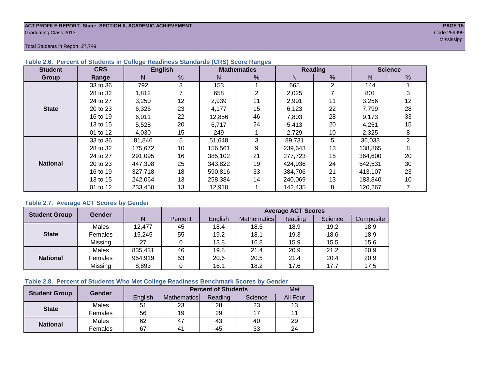#### **ACT PROFILE REPORT- State: SECTION II, ACADEMIC ACHIEVEMENT PAGE 15** Graduating Class 2013 Code 259999

Total Students in Report: 27,749

| <b>Student</b>  | <b>CRS</b> |         | <b>English</b> |         | <b>Mathematics</b> |         | Reading        |         | <b>Science</b> |
|-----------------|------------|---------|----------------|---------|--------------------|---------|----------------|---------|----------------|
| Group           | Range      | N       | %              | N       | %                  | N       | $\frac{9}{6}$  | N       | %              |
|                 | 33 to 36   | 792     | 3              | 153     |                    | 665     | $\overline{2}$ | 144     |                |
|                 | 28 to 32   | 1,812   |                | 658     | 2                  | 2,025   |                | 801     | 3              |
|                 | 24 to 27   | 3,250   | 12             | 2,939   | 11                 | 2,991   | 11             | 3,256   | 12             |
| <b>State</b>    | 20 to 23   | 6,326   | 23             | 4,177   | 15                 | 6,123   | 22             | 7,799   | 28             |
|                 | 16 to 19   | 6,011   | 22             | 12,856  | 46                 | 7,803   | 28             | 9,173   | 33             |
|                 | 13 to 15   | 5,528   | 20             | 6,717   | 24                 | 5,413   | 20             | 4,251   | 15             |
|                 | 01 to 12   | 4,030   | 15             | 249     |                    | 2,729   | 10             | 2,325   | 8              |
|                 | 33 to 36   | 81,846  | 5              | 51,648  | 3                  | 89,731  | 5              | 36,033  | $\overline{2}$ |
|                 | 28 to 32   | 175,672 | 10             | 156,561 | 9                  | 239,643 | 13             | 138,865 | 8              |
|                 | 24 to 27   | 291,095 | 16             | 385.102 | 21                 | 277,723 | 15             | 364,600 | 20             |
| <b>National</b> | 20 to 23   | 447,398 | 25             | 343.822 | 19                 | 424,936 | 24             | 542,531 | 30             |
|                 | 16 to 19   | 327,718 | 18             | 590,816 | 33                 | 384,706 | 21             | 413,107 | 23             |
|                 | 13 to 15   | 242.064 | 13             | 258.384 | 14                 | 240,069 | 13             | 183,840 | 10             |
|                 | 01 to 12   | 233,450 | 13             | 12,910  |                    | 142,435 | 8              | 120,267 |                |

#### **Table 2.6. Percent of Students in College Readiness Standards (CRS) Score Ranges**

#### **Table 2.7. Average ACT Scores by Gender**

| <b>Student Group</b> | <b>Gender</b> |         |         | <b>Average ACT Scores</b> |             |         |         |           |  |  |  |  |
|----------------------|---------------|---------|---------|---------------------------|-------------|---------|---------|-----------|--|--|--|--|
|                      |               | N       | Percent | Enalish                   | Mathematics | Reading | Science | Composite |  |  |  |  |
|                      | Males         | 12,477  | 45      | 18.4                      | 18.5        | 18.9    | 19.2    | 18.9      |  |  |  |  |
| <b>State</b>         | Females       | 15,245  | 55      | 19.2                      | 18.1        | 19.3    | 18.6    | 18.9      |  |  |  |  |
|                      | Missing       | 27      |         | 13.8                      | 16.8        | 15.9    | 15.5    | 15.6      |  |  |  |  |
|                      | Males         | 835,431 | 46      | 19.8                      | 21.4        | 20.9    | 21.2    | 20.9      |  |  |  |  |
| <b>National</b>      | Females       | 954,919 | 53      | 20.6                      | 20.5        | 21.4    | 20.4    | 20.9      |  |  |  |  |
|                      | Missing       | 8,893   | 0       | 16.1                      | 18.2        | 17.6    | 17.7    | 17.5      |  |  |  |  |

#### **Table 2.8. Percent of Students Who Met College Readiness Benchmark Scores by Gender**

| <b>Student Group</b> | Gender  |         | Met            |         |         |                 |
|----------------------|---------|---------|----------------|---------|---------|-----------------|
|                      |         | English | Mathematics    | Reading | Science | <b>All Four</b> |
| <b>State</b>         | Males   | 51      | 23             | 28      | 23      | 13              |
|                      | Females | 56      | 19             | 29      | 17      |                 |
| <b>National</b>      | Males   | 62      | 47             | 43      | 40      | 29              |
|                      | Females | 67      | 4 <sup>1</sup> | 45      | 33      | 24              |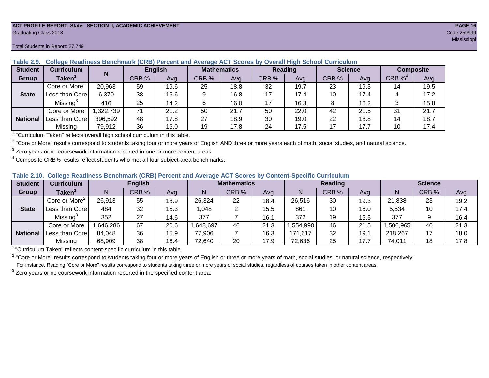#### **ACT PROFILE REPORT- State: SECTION II, ACADEMIC ACHIEVEMENT PAGE 16** Graduating Class 2013 Code 259999

#### **Student Curriculum English Mathematics Reading Science Composite Group Taken<sup>1</sup> | III CRB** % | Avg | CRB % | Avg | CRB % | Avg | CRB % | CRB %<sup>4</sup> Avg Core or More<sup>2</sup> 20,963 | 59 | 19.6 | 25 | 18.8 | 32 | 19.7 | 23 | 19.3 | 14 | 19.5 Less than Core | 6,370 | 38 | 16.6 | 9 | 16.8 | 17 | 17.4 | 10 | 17.4 | 4 | 17.2 Missing<sup>3</sup> 416 | 25 | 14.2 | 6 | 16.0 | 17 | 16.3 | 8 | 16.2 | 3 | 15.8 Core or More | 1,322,739 | 71 | 21.2 | 50 | 250 | 22.0 | 42 | 21.5 | 31 | 21.7 Less than Core 396,592 48 17.8 27 18.9 30 19.0 22 18.8 14 18.7 Missing | 79,912 | 36 | 16.0 | 19 | 17.8 | 24 | 17.5 | 17 | 17.7 | 10 | 17.4 **N State National**

**Table 2.9. College Readiness Benchmark (CRB) Percent and Average ACT Scores by Overall High School Curriculum**

<sup>1</sup> "Curriculum Taken" reflects overall high school curriculum in this table.

 $^2$  "Core or More" results correspond to students taking four or more years of English AND three or more years each of math, social studies, and natural science.

 $3$  Zero years or no coursework information reported in one or more content areas.

 $4$  Composite CRB% results reflect students who met all four subject-area benchmarks.

| Table 2.10. College Readiness Benchmark (CRB) Percent and Average ACT Scores by Content-Specific Curriculum |
|-------------------------------------------------------------------------------------------------------------|
|-------------------------------------------------------------------------------------------------------------|

| <b>Student</b>  | Curriculum                    |          | <b>English</b> |      |         | <b>Mathematics</b> |      |          | <b>Reading</b> |      |          | <b>Science</b> |      |  |
|-----------------|-------------------------------|----------|----------------|------|---------|--------------------|------|----------|----------------|------|----------|----------------|------|--|
| Group           | $\mathsf{Taken}^{\mathsf{T}}$ |          | CRB %          | Avg  | N       | CRB %              | Avg  | N        | CRB %          | Avg  | N        | CRB %          | Avg  |  |
|                 | Core or More <sup>2</sup>     | 26,913   | 55             | 18.9 | 26,324  | 22                 | 18.4 | 26,516   | 30             | 19.3 | 21,838   | 23             | 19.2 |  |
| <b>State</b>    | Less than Core                | 484      | 32             | 15.3 | 0.048   |                    | 15.5 | 861      | 10             | 16.0 | 5,534    | 10             | 17.4 |  |
|                 | Missing <sup>3</sup>          | 352      | 27             | 14.6 | 377     |                    | 16.1 | 372      | 19             | 16.5 | 377      |                | 16.4 |  |
|                 | Core or More                  | .646,286 | 67             | 20.6 | 648,697 | 46                 | 21.3 | ,554,990 | 46             | 21.5 | ,506,965 | 40             | 21.3 |  |
| <b>National</b> | Less than Core                | 84,048   | 36             | 15.9 | 77,906  |                    | 16.3 | 171,617  | 32             | 19.1 | 218,267  |                | 18.0 |  |
|                 | Missing                       | 68,909   | 38             | 16.4 | 72,640  | 20                 | 17.9 | 72,636   | 25             | 17.7 | 74,011   | 18             | 17.8 |  |

<sup>1</sup>"Curriculum Taken" reflects content-specific curriculum in this table.

<sup>2</sup> "Core or More" results correspond to students taking four or more years of English or three or more years of math, social studies, or natural science, respectively. For instance, Reading "Core or More" results correspond to students taking three or more years of social studies, regardless of courses taken in other content areas.

 $3$  Zero years or no coursework information reported in the specified content area.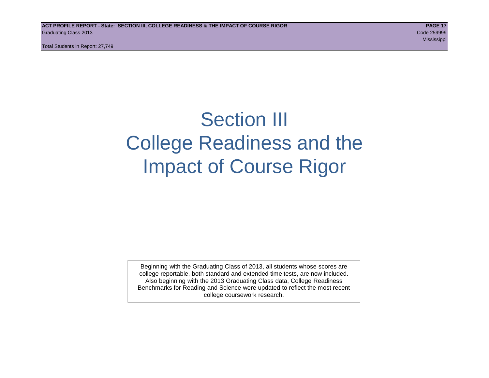Total Students in Report: 27,749

## Section III College Readiness and the Impact of Course Rigor

Beginning with the Graduating Class of 2013, all students whose scores are college reportable, both standard and extended time tests, are now included. Also beginning with the 2013 Graduating Class data, College Readiness Benchmarks for Reading and Science were updated to reflect the most recent college coursework research.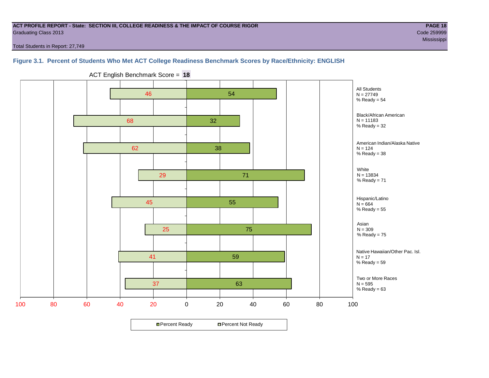#### **ACT PROFILE REPORT - State: SECTION III, COLLEGE READINESS & THE IMPACT OF COURSE RIGOR PAGE 18** Graduating Class 2013 Code 259999

Mississippi (1999) - Mississippi (1999) - Mississippi (1999) - Mississippi (1999) - Mississippi (1999) - Missi

Total Students in Report: 27,749

#### **Figure 3.1. Percent of Students Who Met ACT College Readiness Benchmark Scores by Race/Ethnicity: ENGLISH**



ACT English Benchmark Score = **18**

**□ Percent Ready DPercent Not Ready**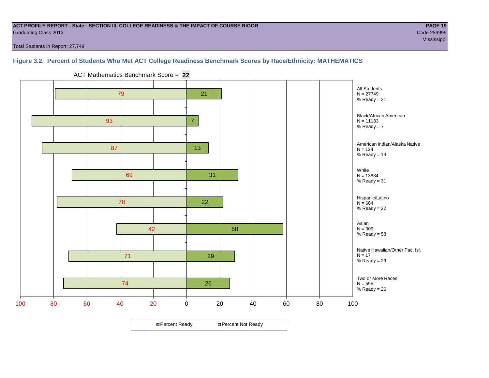#### **ACT PROFILE REPORT - State: SECTION III, COLLEGE READINESS & THE IMPACT OF COURSE RIGOR PAGE 19** Graduating Class 2013 Code 259999

Mississippi (1999) - Mississippi (1999) - Mississippi (1999) - Mississippi (1999) - Mississippi (1999) - Missi

Total Students in Report: 27,749

#### **Figure 3.2. Percent of Students Who Met ACT College Readiness Benchmark Scores by Race/Ethnicity: MATHEMATICS**



ACT Mathematics Benchmark Score = **22**

**□ Percent Ready DPercent Not Ready**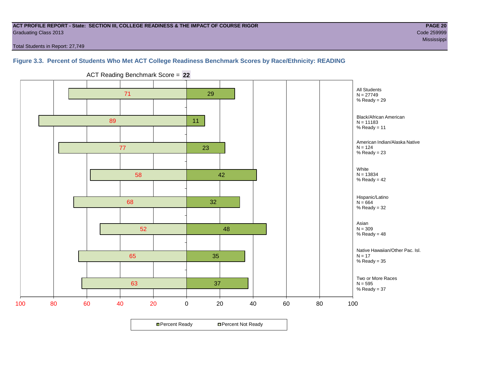#### **ACT PROFILE REPORT - State: SECTION III, COLLEGE READINESS & THE IMPACT OF COURSE RIGOR PAGE 20** Graduating Class 2013 Code 259999

Mississippi (1999) - Mississippi (1999) - Mississippi (1999) - Mississippi (1999) - Mississippi (1999) - Missi

Total Students in Report: 27,749

#### **Figure 3.3. Percent of Students Who Met ACT College Readiness Benchmark Scores by Race/Ethnicity: READING**



ACT Reading Benchmark Score = **22**

**□ Percent Ready DPercent Not Ready**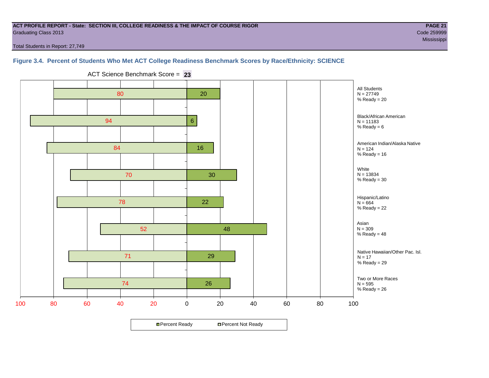#### **ACT PROFILE REPORT - State: SECTION III, COLLEGE READINESS & THE IMPACT OF COURSE RIGOR PAGE 21** Graduating Class 2013 Code 259999

Mississippi (1999) - Mississippi (1999) - Mississippi (1999) - Mississippi (1999) - Mississippi (1999) - Missi

Total Students in Report: 27,749

#### **Figure 3.4. Percent of Students Who Met ACT College Readiness Benchmark Scores by Race/Ethnicity: SCIENCE**



ACT Science Benchmark Score = **23**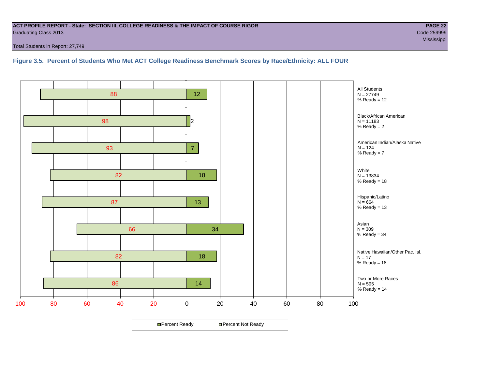#### **ACT PROFILE REPORT - State: SECTION III, COLLEGE READINESS & THE IMPACT OF COURSE RIGOR PAGE 22** Graduating Class 2013 Code 259999

Total Students in Report: 27,749

**Figure 3.5. Percent of Students Who Met ACT College Readiness Benchmark Scores by Race/Ethnicity: ALL FOUR**

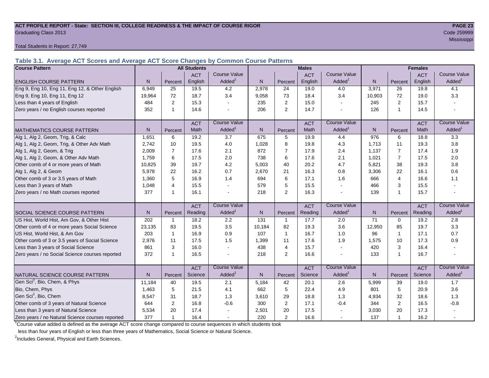#### ACT PROFILE REPORT - State: SECTION III, COLLEGE READINESS & THE IMPACT OF COURSE RIGOR **PAGE 23** Graduating Class 2013 Code 259999

Total Students in Report: 27,749

**Table 3.1. Average ACT Scores and Average ACT Score Changes by Common Course Patterns**

| <b>Course Pattern</b>                            |                |                | <b>All Students</b> |                     | <b>Males</b>   |                |            |                     | <b>Females</b> |                |            |                        |
|--------------------------------------------------|----------------|----------------|---------------------|---------------------|----------------|----------------|------------|---------------------|----------------|----------------|------------|------------------------|
|                                                  |                |                | <b>ACT</b>          | <b>Course Value</b> |                |                | <b>ACT</b> | <b>Course Value</b> |                |                | <b>ACT</b> | <b>Course Value</b>    |
| <b>ENGLISH COURSE PATTERN</b>                    | N.             | Percent        | English             | Added <sup>1</sup>  | $\mathsf{N}$   | Percent        | English    | Added <sup>1</sup>  | $\mathsf{N}$   | Percent        | English    | A d d e d <sup>1</sup> |
| Eng 9, Eng 10, Eng 11, Eng 12, & Other English   | 6,949          | 25             | 19.5                | 4.2                 | 2,978          | 24             | 19.0       | 4.0                 | 3,971          | 26             | 19.8       | 4.1                    |
| Eng 9, Eng 10, Eng 11, Eng 12                    | 19,964         | 72             | 18.7                | 3.4                 | 9,058          | 73             | 18.4       | 3.4                 | 10,903         | 72             | 19.0       | 3.3                    |
| Less than 4 years of English                     | 484            | $\overline{2}$ | 15.3                |                     | 235            | 2              | 15.0       | $\sim$              | 245            | 2              | 15.7       |                        |
| Zero years / no English courses reported         | 352            | 1              | 14.6                |                     | 206            | 2              | 14.7       |                     | 126            | $\mathbf{1}$   | 14.5       |                        |
|                                                  |                |                | <b>ACT</b>          | <b>Course Value</b> |                |                | <b>ACT</b> | <b>Course Value</b> |                |                | <b>ACT</b> | <b>Course Value</b>    |
| <b>MATHEMATICS COURSE PATTERN</b>                | N <sub>1</sub> | Percent        | Math                | Added <sup>1</sup>  | N <sub>1</sub> | Percent        | Math       | Added <sup>1</sup>  | N              | Percent        | Math       | $A$ dded <sup>1</sup>  |
| Alg 1, Alg 2, Geom, Trig, & Calc                 | 1,651          | 6              | 19.2                | $\overline{3.7}$    | 675            | 5              | 19.9       | 4.4                 | 976            | 6              | 18.8       | $\overline{3.3}$       |
| Alg 1, Alg 2, Geom, Trig, & Other Adv Math       | 2.742          | 10             | 19.5                | 4.0                 | 1,028          | 8              | 19.8       | 4.3                 | 1,713          | 11             | 19.3       | 3.8                    |
| Alg 1, Alg 2, Geom, & Trig                       | 2,009          | $\overline{7}$ | 17.6                | 2.1                 | 872            | $\overline{7}$ | 17.9       | 2.4                 | 1,137          | $\overline{7}$ | 17.4       | 1.9                    |
| Alg 1, Alg 2, Geom, & Other Adv Math             | 1,759          | 6              | 17.5                | 2.0                 | 738            | 6              | 17.6       | 2.1                 | 1,021          | $\overline{7}$ | 17.5       | 2.0                    |
| Other comb of 4 or more years of Math            | 10,825         | 39             | 19.7                | 4.2                 | 5,003          | 40             | 20.2       | 4.7                 | 5,821          | 38             | 19.3       | 3.8                    |
| Alg 1, Alg 2, & Geom                             | 5,978          | 22             | 16.2                | 0.7                 | 2,670          | 21             | 16.3       | 0.8                 | 3,306          | 22             | 16.1       | 0.6                    |
| Other comb of 3 or 3.5 years of Math             | 1.360          | 5              | 16.9                | 1.4                 | 694            | 6              | 17.1       | 1.6                 | 666            | $\overline{4}$ | 16.6       | 1.1                    |
| Less than 3 years of Math                        | 1,048          | $\overline{4}$ | 15.5                |                     | 579            | 5              | 15.5       | $\blacksquare$      | 466            | 3              | 15.5       |                        |
| Zero years / no Math courses reported            | 377            | $\mathbf 1$    | 16.1                |                     | 218            | $\overline{2}$ | 16.3       | $\blacksquare$      | 139            | 1              | 15.7       |                        |
|                                                  |                |                | <b>ACT</b>          | <b>Course Value</b> |                |                | <b>ACT</b> | <b>Course Value</b> |                |                | <b>ACT</b> | <b>Course Value</b>    |
| <b>SOCIAL SCIENCE COURSE PATTERN</b>             | N              | Percent        | Reading             | Added <sup>1</sup>  | N              | Percent        | Reading    | Added <sup>1</sup>  | ${\sf N}$      | Percent        | Reading    | A d d e d <sup>1</sup> |
| US Hist, World Hist, Am Gov, & Other Hist        | 202            | $\mathbf{1}$   | 18.2                | 2.2                 | 131            | $\mathbf{1}$   | 17.7       | 2.0                 | 71             | $\Omega$       | 19.2       | 2.8                    |
| Other comb of 4 or more years Social Science     | 23,135         | 83             | 19.5                | 3.5                 | 10,184         | 82             | 19.3       | 3.6                 | 12,950         | 85             | 19.7       | 3.3                    |
| US Hist, World Hist, & Am Gov                    | 203            | $\mathbf{1}$   | 16.9                | 0.9                 | 107            | $\mathbf{1}$   | 16.7       | 1.0                 | 96             | $\mathbf{1}$   | 17.1       | 0.7                    |
| Other comb of 3 or 3.5 years of Social Science   | 2,976          | 11             | 17.5                | 1.5                 | 1,399          | 11             | 17.6       | 1.9                 | 1,575          | 10             | 17.3       | 0.9                    |
| Less than 3 years of Social Science              | 861            | 3              | 16.0                |                     | 438            | $\overline{4}$ | 15.7       | $\sim$              | 420            | 3              | 16.4       |                        |
| Zero years / no Social Science courses reported  | 372            | 1              | 16.5                |                     | 218            | $\overline{2}$ | 16.6       | $\blacksquare$      | 133            | 1              | 16.7       |                        |
|                                                  |                |                | <b>ACT</b>          | <b>Course Value</b> |                |                | <b>ACT</b> | <b>Course Value</b> |                |                | <b>ACT</b> | <b>Course Value</b>    |
| NATURAL SCIENCE COURSE PATTERN                   | N.             | Percent        | Science             | Added               | $\mathsf{N}$   | Percent        | Science    | Added <sup>1</sup>  | N <sub>1</sub> | Percent        | Science    | A d d e d <sup>1</sup> |
| Gen Sci <sup>2</sup> , Bio, Chem, & Phys         | 11,184         | 40             | 19.5                | 2.1                 | 5,184          | 42             | 20.1       | 2.6                 | 5,999          | 39             | 19.0       | 1.7                    |
| Bio, Chem, Phys                                  | 1.463          | 5              | 21.5                | 4.1                 | 662            | 5              | 22.4       | 4.9                 | 801            | 5              | 20.9       | 3.6                    |
| Gen Sci <sup>2</sup> , Bio, Chem                 | 8,547          | 31             | 18.7                | 1.3                 | 3,610          | 29             | 18.8       | 1.3                 | 4,934          | 32             | 18.6       | 1.3                    |
| Other comb of 3 years of Natural Science         | 644            | $\mathbf{2}$   | 16.8                | $-0.6$              | 300            | $\overline{2}$ | 17.1       | $-0.4$              | 344            | $\overline{2}$ | 16.5       | $-0.8$                 |
| Less than 3 years of Natural Science             | 5,534          | 20             | 17.4                |                     | 2,501          | 20             | 17.5       |                     | 3,030          | 20             | 17.3       |                        |
| Zero years / no Natural Science courses reported | 377            |                | 16.4                |                     | 220            | 2              | 16.6       |                     | 137            | 1              | 16.2       |                        |

<sup>1</sup>Course value added is defined as the average ACT score change compared to course sequences in which students took

less than four years of English or less than three years of Mathematics, Social Science or Natural Science.

<sup>2</sup>Includes General, Physical and Earth Sciences.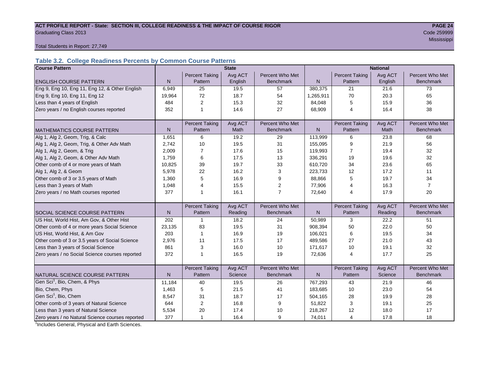## ACT PROFILE REPORT - State: SECTION III, COLLEGE READINESS & THE IMPACT OF COURSE RIGOR **PAGE 24** Graduating Class 2013 Code 259999

Mississippi (1999) - Mississippi (1999) - Mississippi (1999) - Mississippi (1999) - Mississippi (1999) - Missi

Total Students in Report: 27,749

#### **Table 3.2. College Readiness Percents by Common Course Patterns**

| <b>Course Pattern</b>                            |              |                       | <b>State</b> |                  | <b>National</b> |                       |         |                  |  |
|--------------------------------------------------|--------------|-----------------------|--------------|------------------|-----------------|-----------------------|---------|------------------|--|
|                                                  |              | <b>Percent Taking</b> | Avg ACT      | Percent Who Met  |                 | <b>Percent Taking</b> | Avg ACT | Percent Who Met  |  |
| <b>ENGLISH COURSE PATTERN</b>                    | $\mathsf{N}$ | Pattern               | English      | <b>Benchmark</b> | N               | Pattern               | English | <b>Benchmark</b> |  |
| Eng 9, Eng 10, Eng 11, Eng 12, & Other English   | 6,949        | 25                    | 19.5         | 57               | 380,375         | 21                    | 21.6    | 73               |  |
| Eng 9, Eng 10, Eng 11, Eng 12                    | 19,964       | 72                    | 18.7         | 54               | 1,265,911       | 70                    | 20.3    | 65               |  |
| Less than 4 years of English                     | 484          | 2                     | 15.3         | 32               | 84,048          | 5                     | 15.9    | 36               |  |
| Zero years / no English courses reported         | 352          | 1                     | 14.6         | 27               | 68,909          | $\overline{4}$        | 16.4    | 38               |  |
|                                                  |              |                       |              |                  |                 |                       |         |                  |  |
|                                                  |              | <b>Percent Taking</b> | Avg ACT      | Percent Who Met  |                 | <b>Percent Taking</b> | Avg ACT | Percent Who Met  |  |
| <b>MATHEMATICS COURSE PATTERN</b>                | N            | Pattern               | <b>Math</b>  | <b>Benchmark</b> | N               | Pattern               | Math    | <b>Benchmark</b> |  |
| Alg 1, Alg 2, Geom, Trig, & Calc                 | 1,651        | 6                     | 19.2         | 29               | 113,999         | 6                     | 23.8    | 68               |  |
| Alg 1, Alg 2, Geom, Trig, & Other Adv Math       | 2,742        | 10                    | 19.5         | 31               | 155,095         | 9                     | 21.9    | 56               |  |
| Alg 1, Alg 2, Geom, & Trig                       | 2,009        | $\overline{7}$        | 17.6         | 15               | 119,993         | 7                     | 19.4    | 32               |  |
| Alg 1, Alg 2, Geom, & Other Adv Math             | 1,759        | 6                     | 17.5         | 13               | 336,291         | 19                    | 19.6    | 32               |  |
| Other comb of 4 or more years of Math            | 10,825       | 39                    | 19.7         | 33               | 610,720         | 34                    | 23.6    | 65               |  |
| Alg 1, Alg 2, & Geom                             | 5,978        | 22                    | 16.2         | 3                | 223,733         | 12                    | 17.2    | 11               |  |
| Other comb of 3 or 3.5 years of Math             | 1,360        | 5                     | 16.9         | 9                | 88,866          | 5                     | 19.7    | 34               |  |
| Less than 3 years of Math                        | 1,048        | $\overline{4}$        | 15.5         | $\overline{2}$   | 77,906          | 4                     | 16.3    | $\overline{7}$   |  |
| Zero years / no Math courses reported            | 377          | 1                     | 16.1         | $\overline{7}$   | 72,640          | 4                     | 17.9    | 20               |  |
|                                                  |              |                       |              |                  |                 |                       |         |                  |  |
|                                                  |              | <b>Percent Taking</b> | Avg ACT      | Percent Who Met  |                 | <b>Percent Taking</b> | Avg ACT | Percent Who Met  |  |
| SOCIAL SCIENCE COURSE PATTERN                    | $\mathsf{N}$ | Pattern               | Reading      | <b>Benchmark</b> | $\mathsf{N}$    | Pattern               | Reading | <b>Benchmark</b> |  |
| US Hist, World Hist, Am Gov, & Other Hist        | 202          | $\mathbf 1$           | 18.2         | 24               | 50,989          | 3                     | 22.2    | 51               |  |
| Other comb of 4 or more years Social Science     | 23,135       | 83                    | 19.5         | 31               | 908,394         | 50                    | 22.0    | 50               |  |
| US Hist, World Hist, & Am Gov                    | 203          | $\mathbf{1}$          | 16.9         | 19               | 106,021         | 6                     | 19.5    | 34               |  |
| Other comb of 3 or 3.5 years of Social Science   | 2,976        | 11                    | 17.5         | 17               | 489,586         | 27                    | 21.0    | 43               |  |
| Less than 3 years of Social Science              | 861          | 3                     | 16.0         | 10               | 171,617         | 10                    | 19.1    | 32               |  |
| Zero years / no Social Science courses reported  | 372          | $\overline{1}$        | 16.5         | 19               | 72,636          | $\overline{4}$        | 17.7    | 25               |  |
|                                                  |              |                       |              |                  |                 |                       |         |                  |  |
|                                                  |              | <b>Percent Taking</b> | Avg ACT      | Percent Who Met  |                 | <b>Percent Taking</b> | Avg ACT | Percent Who Met  |  |
| NATURAL SCIENCE COURSE PATTERN                   | N            | Pattern               | Science      | <b>Benchmark</b> | N               | Pattern               | Science | <b>Benchmark</b> |  |
| Gen Sci <sup>1</sup> , Bio, Chem, & Phys         | 11,184       | 40                    | 19.5         | 26               | 767,293         | 43                    | 21.9    | 46               |  |
| Bio, Chem, Phys                                  | 1,463        | 5                     | 21.5         | 41               | 183,685         | 10                    | 23.0    | 54               |  |
| Gen Sci <sup>1</sup> , Bio, Chem                 | 8,547        | 31                    | 18.7         | 17               | 504,165         | 28                    | 19.9    | 28               |  |
| Other comb of 3 years of Natural Science         | 644          | 2                     | 16.8         | 9                | 51,822          | 3                     | 19.1    | 25               |  |
| Less than 3 years of Natural Science             | 5,534        | 20                    | 17.4         | 10               | 218,267         | 12                    | 18.0    | 17               |  |
| Zero years / no Natural Science courses reported | 377          | $\mathbf{1}$          | 16.4         | 9                | 74,011          | 4                     | 17.8    | 18               |  |

<sup>1</sup>Includes General, Physical and Earth Sciences.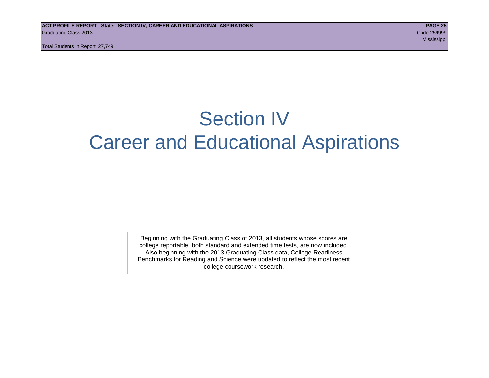Total Students in Report: 27,749

## Section IV Career and Educational Aspirations

Beginning with the Graduating Class of 2013, all students whose scores are college reportable, both standard and extended time tests, are now included. Also beginning with the 2013 Graduating Class data, College Readiness Benchmarks for Reading and Science were updated to reflect the most recent college coursework research.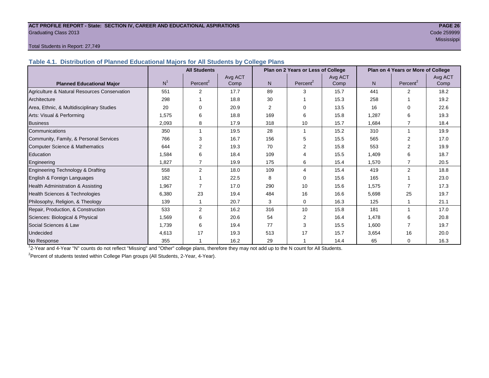#### **ACT PROFILE REPORT - State: SECTION IV, CAREER AND EDUCATIONAL ASPIRATIONS PAGE 26** Graduating Class 2013 Code 259999

## Mississippi

#### Total Students in Report: 27,749

**Table 4.1. Distribution of Planned Educational Majors for All Students by College Plans**

|                                              | <b>All Students</b> |                      |         |                | Plan on 2 Years or Less of College |         | Plan on 4 Years or More of College |                      |         |  |
|----------------------------------------------|---------------------|----------------------|---------|----------------|------------------------------------|---------|------------------------------------|----------------------|---------|--|
|                                              |                     |                      | Avg ACT |                |                                    | Avg ACT |                                    |                      | Avg ACT |  |
| <b>Planned Educational Major</b>             | N <sup>1</sup>      | Percent <sup>2</sup> | Comp    | N <sub>1</sub> | Percent <sup>2</sup>               | Comp    | N.                                 | Percent <sup>2</sup> | Comp    |  |
| Agriculture & Natural Resources Conservation | 551                 | $\overline{2}$       | 17.7    | 89             | 3                                  | 15.7    | 441                                | $\overline{2}$       | 18.2    |  |
| Architecture                                 | 298                 |                      | 18.8    | 30             |                                    | 15.3    | 258                                |                      | 19.2    |  |
| Area, Ethnic, & Multidisciplinary Studies    | 20                  | 0                    | 20.9    | $\overline{2}$ | $\Omega$                           | 13.5    | 16                                 | 0                    | 22.6    |  |
| Arts: Visual & Performing                    | 1,575               | 6                    | 18.8    | 169            | 6                                  | 15.8    | 1,287                              | 6                    | 19.3    |  |
| <b>Business</b>                              | 2,093               | 8                    | 17.9    | 318            | 10                                 | 15.7    | 1,684                              |                      | 18.4    |  |
| Communications                               | 350                 |                      | 19.5    | 28             |                                    | 15.2    | 310                                | $\mathbf{1}$         | 19.9    |  |
| Community, Family, & Personal Services       | 766                 | 3                    | 16.7    | 156            | 5                                  | 15.5    | 565                                | $\overline{2}$       | 17.0    |  |
| <b>Computer Science &amp; Mathematics</b>    | 644                 | $\overline{2}$       | 19.3    | 70             | 2                                  | 15.8    | 553                                |                      | 19.9    |  |
| Education                                    | 1,584               | 6                    | 18.4    | 109            | 4                                  | 15.5    | 1,409                              | 6                    | 18.7    |  |
| Engineering                                  | 1,827               | $\overline{7}$       | 19.9    | 175            | 6                                  | 15.4    | 1,570                              |                      | 20.5    |  |
| Engineering Technology & Drafting            | 558                 | $\overline{2}$       | 18.0    | 109            | 4                                  | 15.4    | 419                                | $\overline{2}$       | 18.8    |  |
| English & Foreign Languages                  | 182                 |                      | 22.5    | 8              | $\Omega$                           | 15.6    | 165                                |                      | 23.0    |  |
| Health Administration & Assisting            | 1,967               |                      | 17.0    | 290            | 10                                 | 15.6    | 1,575                              | 7                    | 17.3    |  |
| Health Sciences & Technologies               | 6,380               | 23                   | 19.4    | 484            | 16                                 | 16.6    | 5,698                              | 25                   | 19.7    |  |
| Philosophy, Religion, & Theology             | 139                 |                      | 20.7    | 3              | $\Omega$                           | 16.3    | 125                                |                      | 21.1    |  |
| Repair, Production, & Construction           | 533                 | 2                    | 16.2    | 316            | 10                                 | 15.8    | 181                                |                      | 17.0    |  |
| Sciences: Biological & Physical              | 1,569               | 6                    | 20.6    | 54             | 2                                  | 16.4    | 1,478                              | 6                    | 20.8    |  |
| Social Sciences & Law                        | 1,739               | 6                    | 19.4    | 77             | 3                                  | 15.5    | 1,600                              |                      | 19.7    |  |
| Undecided                                    | 4,613               | 17                   | 19.3    | 513            | 17                                 | 15.7    | 3,654                              | 16                   | 20.0    |  |
| No Response                                  | 355                 |                      | 16.2    | 29             |                                    | 14.4    | 65                                 | $\Omega$             | 16.3    |  |

1 2-Year and 4-Year "N" counts do not reflect "Missing" and "Other" college plans, therefore they may not add up to the N count for All Students.

<sup>2</sup> Percent of students tested within College Plan groups (All Students, 2-Year, 4-Year).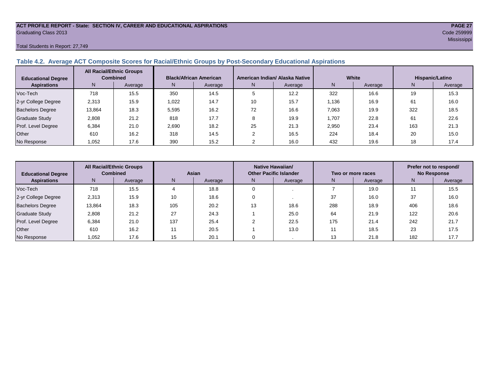## **ACT PROFILE REPORT - State: SECTION IV, CAREER AND EDUCATIONAL ASPIRATIONS PAGE 27** Graduating Class 2013 Code 259999

#### Total Students in Report: 27,749

#### **Table 4.2. Average ACT Composite Scores for Racial/Ethnic Groups by Post-Secondary Educational Aspirations**

| <b>Educational Degree</b> | <b>All Racial/Ethnic Groups</b><br><b>Combined</b> |         | <b>Black/African American</b> |         |    | American Indian/ Alaska Native |       | White   | Hispanic/Latino |         |  |
|---------------------------|----------------------------------------------------|---------|-------------------------------|---------|----|--------------------------------|-------|---------|-----------------|---------|--|
| <b>Aspirations</b>        | N.                                                 | Average | N                             | Average | N  | Average                        |       | Average | N               | Average |  |
| Voc-Tech                  | 718                                                | 15.5    | 350                           | 14.5    |    | 12.2                           | 322   | 16.6    | 19              | 15.3    |  |
| 2-yr College Degree       | 2,313                                              | 15.9    | 1,022                         | 14.7    | 10 | 15.7                           | 1,136 | 16.9    | 61              | 16.0    |  |
| <b>Bachelors Degree</b>   | 13.864                                             | 18.3    | 5.595                         | 16.2    | 72 | 16.6                           | 7,063 | 19.9    | 322             | 18.5    |  |
| <b>Graduate Study</b>     | 2,808                                              | 21.2    | 818                           | 17.7    |    | 19.9                           | 1,707 | 22.8    | 61              | 22.6    |  |
| Prof. Level Degree        | 6,384                                              | 21.0    | 2.690                         | 18.2    | 25 | 21.3                           | 2,950 | 23.4    | 163             | 21.3    |  |
| Other                     | 610                                                | 16.2    | 318                           | 14.5    |    | 16.5                           | 224   | 18.4    | 20              | 15.0    |  |
| No Response               | 1,052                                              | 17.6    | 390                           | 15.2    |    | 16.0                           | 432   | 19.6    | 18              | 17.4    |  |

| <b>Educational Degree</b> | <b>All Racial/Ethnic Groups</b><br><b>Combined</b> |         | Asian |         |               | Native Hawaiian/<br><b>Other Pacific Islander</b> |     | Two or more races | Prefer not to respond/<br><b>No Response</b> |         |  |
|---------------------------|----------------------------------------------------|---------|-------|---------|---------------|---------------------------------------------------|-----|-------------------|----------------------------------------------|---------|--|
| <b>Aspirations</b>        | N <sub>1</sub>                                     | Average | N.    | Average | N.<br>Average |                                                   | N   | Average           | N                                            | Average |  |
| Voc-Tech                  | 718                                                | 15.5    |       | 18.8    |               |                                                   |     | 19.0              |                                              | 15.5    |  |
| 2-yr College Degree       | 2,313                                              | 15.9    | 10    | 18.6    |               |                                                   | 37  | 16.0              | 37                                           | 16.0    |  |
| <b>Bachelors Degree</b>   | 13,864                                             | 18.3    | 105   | 20.2    | 13            | 18.6                                              | 288 | 18.9              | 406                                          | 18.6    |  |
| <b>Graduate Study</b>     | 2,808                                              | 21.2    | 27    | 24.3    |               | 25.0                                              | 64  | 21.9              | 122                                          | 20.6    |  |
| Prof. Level Degree        | 6,384                                              | 21.0    | 137   | 25.4    |               | 22.5                                              | 175 | 21.4              | 242                                          | 21.7    |  |
| Other                     | 610                                                | 16.2    | 11    | 20.5    |               | 13.0                                              |     | 18.5              | 23                                           | 17.5    |  |
| No Response               | 1,052                                              | 17.6    | 15    | 20.1    |               |                                                   | 13  | 21.8              | 182                                          | 17.7    |  |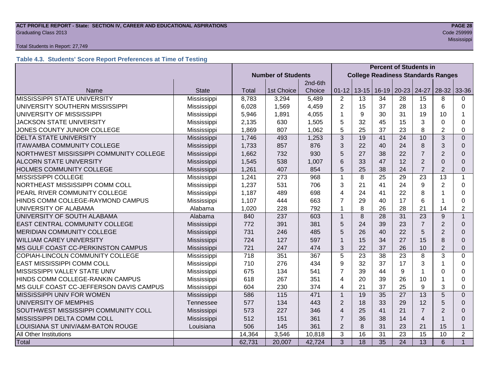## **ACT PROFILE REPORT - State: SECTION IV, CAREER AND EDUCATIONAL ASPIRATIONS PAGE 28** Graduating Class 2013 Code 259999

#### Total Students in Report: 27,749

### **Table 4.3. Students' Score Report Preferences at Time of Testing**

|                                         |              |                           |                                           | <b>Percent of Students in</b> |                         |                 |                 |                 |                 |                |                |
|-----------------------------------------|--------------|---------------------------|-------------------------------------------|-------------------------------|-------------------------|-----------------|-----------------|-----------------|-----------------|----------------|----------------|
|                                         |              | <b>Number of Students</b> | <b>College Readiness Standards Ranges</b> |                               |                         |                 |                 |                 |                 |                |                |
|                                         |              |                           |                                           | 2nd-6th                       |                         |                 |                 |                 |                 |                |                |
| Name                                    | <b>State</b> | Total                     | 1st Choice                                | Choice                        | $01 - 12$               | $13 - 15$       | $16 - 19$       | $20 - 23$       | 24-27           | $28-32$        | 33-36          |
| MISSISSIPPI STATE UNIVERSITY            | Mississippi  | 8,783                     | 3,294                                     | 5,489                         | $\overline{2}$          | 13              | 34              | 28              | 15              | 8              | 0              |
| UNIVERSITY SOUTHERN MISSISSIPPI         | Mississippi  | 6,028                     | 1,569                                     | 4,459                         | $\overline{2}$          | 15              | 37              | 28              | 13              | 6              | $\Omega$       |
| UNIVERSITY OF MISSISSIPPI               | Mississippi  | 5,946                     | 1,891                                     | 4,055                         | 1                       | 9               | 30              | 31              | 19              | 10             |                |
| <b>JACKSON STATE UNIVERSITY</b>         | Mississippi  | 2,135                     | 630                                       | 1,505                         | 5                       | 32              | 45              | 15              | 3               | $\Omega$       | 0              |
| JONES COUNTY JUNIOR COLLEGE             | Mississippi  | 1,869                     | 807                                       | 1,062                         | 5                       | 25              | 37              | 23              | 8               | $\overline{2}$ | 0              |
| <b>DELTA STATE UNIVERSITY</b>           | Mississippi  | 1,746                     | 493                                       | 1,253                         | 3                       | 19              | 41              | 24              | 10              | 3              | $\Omega$       |
| <b>ITAWAMBA COMMUNITY COLLEGE</b>       | Mississippi  | 1,733                     | 857                                       | 876                           | 3                       | 22              | 40              | 24              | 8               | 3              | $\Omega$       |
| NORTHWEST MISSISSIPPI COMMUNITY COLLEGE | Mississippi  | 1,662                     | 732                                       | 930                           | 5                       | 27              | 38              | 22              | $\overline{7}$  | $\overline{2}$ | $\Omega$       |
| <b>ALCORN STATE UNIVERSITY</b>          | Mississippi  | 1,545                     | 538                                       | 1,007                         | 6                       | 33              | 47              | 12              | $\overline{2}$  | $\Omega$       | $\Omega$       |
| HOLMES COMMUNITY COLLEGE                | Mississippi  | 1,261                     | 407                                       | 854                           | 5                       | 25              | 38              | 24              | $\overline{7}$  | $\overline{2}$ | 0              |
| MISSISSIPPI COLLEGE                     | Mississippi  | 1,241                     | 273                                       | 968                           | $\mathbf{1}$            | 8               | 25              | 29              | 23              | 13             | $\mathbf{1}$   |
| NORTHEAST MISSISSIPPI COMM COLL         | Mississippi  | 1,237                     | 531                                       | 706                           | 3                       | 21              | 41              | 24              | 9               | $\overline{2}$ | 0              |
| PEARL RIVER COMMUNITY COLLEGE           | Mississippi  | 1,187                     | 489                                       | 698                           | 4                       | 24              | 41              | 22              | 8               |                | $\Omega$       |
| HINDS COMM COLLEGE-RAYMOND CAMPUS       | Mississippi  | 1,107                     | 444                                       | 663                           | $\overline{7}$          | 29              | 40              | 17              | 6               |                | 0              |
| UNIVERSITY OF ALABAMA                   | Alabama      | 1,020                     | 228                                       | 792                           | 1                       | 8               | 26              | 28              | 21              | 14             | $\overline{2}$ |
| UNIVERSITY OF SOUTH ALABAMA             | Alabama      | 840                       | 237                                       | 603                           | $\mathbf{1}$            | 8               | 28              | 31              | 23              | 9              | $\mathbf{1}$   |
| EAST CENTRAL COMMUNITY COLLEGE          | Mississippi  | 772                       | 391                                       | 381                           | 5                       | 24              | 39              | 23              | $\overline{7}$  | $\overline{2}$ | $\Omega$       |
| <b>MERIDIAN COMMUNITY COLLEGE</b>       | Mississippi  | 731                       | 246                                       | 485                           | 5                       | 26              | 40              | 22              | 5               | $\overline{2}$ | $\Omega$       |
| <b>WILLIAM CAREY UNIVERSITY</b>         | Mississippi  | 724                       | 127                                       | 597                           | $\mathbf{1}$            | 15              | 34              | 27              | 15              | 8              | $\Omega$       |
| MS GULF COAST CC-PERKINSTON CAMPUS      | Mississippi  | 721                       | 247                                       | 474                           | 3                       | 22              | 37              | 26              | 10              | $\overline{2}$ | $\Omega$       |
| COPIAH-LINCOLN COMMUNITY COLLEGE        | Mississippi  | 718                       | 351                                       | 367                           | 5                       | 23              | 38              | 23              | 8               | 3              | $\Omega$       |
| EAST MISSISSIPPI COMM COLL              | Mississippi  | 710                       | 276                                       | 434                           | 9                       | 32              | 37              | 17              | 3               |                | 0              |
| MISSISSIPPI VALLEY STATE UNIV           | Mississippi  | 675                       | 134                                       | 541                           | $\overline{7}$          | 39              | 44              | 9               | $\mathbf{1}$    | $\Omega$       | 0              |
| HINDS COMM COLLEGE-RANKIN CAMPUS        | Mississippi  | 618                       | 267                                       | 351                           | 4                       | 20              | 39              | 26              | 10              |                | 0              |
| MS GULF COAST CC-JEFFERSON DAVIS CAMPUS | Mississippi  | 604                       | 230                                       | 374                           | 4                       | 21              | 37              | 25              | 9               | 3              | 0              |
| MISSISSIPPI UNIV FOR WOMEN              | Mississippi  | 586                       | 115                                       | 471                           | $\mathbf{1}$            | 19              | 35              | 27              | 13              | 5              | $\Omega$       |
| UNIVERSITY OF MEMPHIS                   | Tennessee    | 577                       | 134                                       | 443                           | $\overline{2}$          | 18              | 33              | 29              | 12              | 5              | $\Omega$       |
| SOUTHWEST MISSISSIPPI COMMUNITY COLL    | Mississippi  | 573                       | 227                                       | 346                           | $\overline{\mathbf{4}}$ | 25              | 41              | 21              | $\overline{7}$  | $\overline{2}$ | $\Omega$       |
| MISSISSIPPI DELTA COMM COLL             | Mississippi  |                           | 151                                       | 361                           | $\overline{7}$          | 36              | 38              | 14              | $\overline{4}$  |                | $\Omega$       |
| LOUISIANA ST UNIV/A&M-BATON ROUGE       | Louisiana    | 506                       | 145                                       | 361                           | $\overline{2}$          | 8               | 31              | 23              | 21              | 15             | $\mathbf{1}$   |
| All Other Institutions                  |              | 14,364                    | 3,546                                     | 10,818                        | 3                       | 16              | 31              | 23              | 15              | 10             | $\overline{2}$ |
| Total                                   |              | 62,731                    | 20,007                                    | 42,724                        | $\overline{3}$          | $\overline{18}$ | $\overline{35}$ | $\overline{24}$ | $\overline{13}$ | 6              | $\mathbf{1}$   |

Mississippi (1999) - Mississippi (1999) - Mississippi (1999) - Mississippi (1999) - Mississippi (1999) - Missi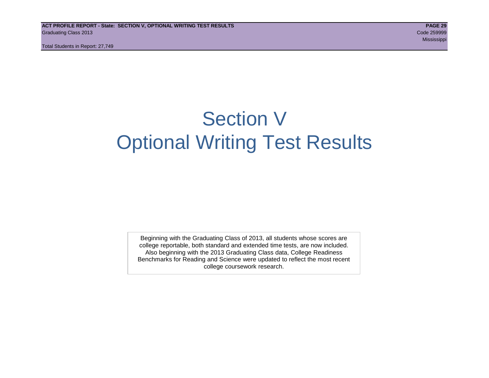Total Students in Report: 27,749

## Section V Optional Writing Test Results

Beginning with the Graduating Class of 2013, all students whose scores are college reportable, both standard and extended time tests, are now included. Also beginning with the 2013 Graduating Class data, College Readiness Benchmarks for Reading and Science were updated to reflect the most recent college coursework research.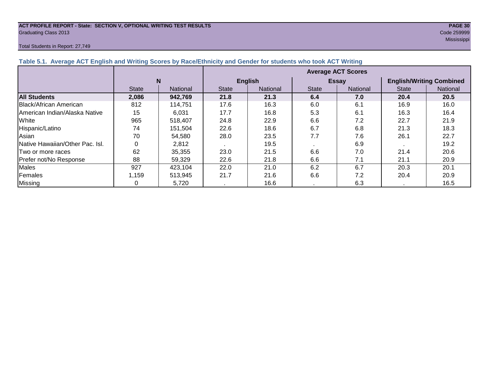## **ACT PROFILE REPORT - State: SECTION V, OPTIONAL WRITING TEST RESULTS PAGE 30** Graduating Class 2013 Code 259999

#### Total Students in Report: 27,749

Mississippi (1999) - Mississippi (1999) - Mississippi (1999) - Mississippi (1999) - Mississippi (1999) - Missi

| Table 5.1. Average ACT English and Writing Scores by Race/Ethnicity and Gender for students who took ACT Writing |              |          |                           |                 |              |              |                                 |          |  |  |  |  |
|------------------------------------------------------------------------------------------------------------------|--------------|----------|---------------------------|-----------------|--------------|--------------|---------------------------------|----------|--|--|--|--|
|                                                                                                                  |              |          | <b>Average ACT Scores</b> |                 |              |              |                                 |          |  |  |  |  |
|                                                                                                                  |              | N        |                           | <b>English</b>  |              | <b>Essay</b> | <b>English/Writing Combined</b> |          |  |  |  |  |
|                                                                                                                  | <b>State</b> | National | <b>State</b>              | <b>National</b> | <b>State</b> | National     | <b>State</b>                    | National |  |  |  |  |
| <b>All Students</b>                                                                                              | 2,086        | 942,769  | 21.8                      | 21.3            | 6.4          | 7.0          | 20.4                            | 20.5     |  |  |  |  |
| Black/African American                                                                                           | 812          | 114.751  | 17.6                      | 16.3            | 6.0          | 6.1          | 16.9                            | 16.0     |  |  |  |  |
| American Indian/Alaska Native                                                                                    | 15           | 6,031    | 17.7                      | 16.8            | 5.3          | 6.1          | 16.3                            | 16.4     |  |  |  |  |
| White                                                                                                            | 965          | 518,407  | 24.8                      | 22.9            | 6.6          | 7.2          | 22.7                            | 21.9     |  |  |  |  |
| Hispanic/Latino                                                                                                  | 74           | 151,504  | 22.6                      | 18.6            | 6.7          | 6.8          | 21.3                            | 18.3     |  |  |  |  |
| Asian                                                                                                            | 70           | 54,580   | 28.0                      | 23.5            | 7.7          | 7.6          | 26.1                            | 22.7     |  |  |  |  |
| Native Hawaiian/Other Pac. Isl.                                                                                  |              | 2,812    |                           | 19.5            |              | 6.9          |                                 | 19.2     |  |  |  |  |
| <b>Two or more races</b>                                                                                         | 62           | 35,355   | 23.0                      | 21.5            | 6.6          | 7.0          | 21.4                            | 20.6     |  |  |  |  |
| Prefer not/No Response                                                                                           | 88           | 59,329   | 22.6                      | 21.8            | 6.6          | 7.1          | 21.1                            | 20.9     |  |  |  |  |
| Males                                                                                                            | 927          | 423,104  | 22.0                      | 21.0            | 6.2          | 6.7          | 20.3                            | 20.1     |  |  |  |  |
| Females                                                                                                          | 1,159        | 513,945  | 21.7                      | 21.6            | 6.6          | 7.2          | 20.4                            | 20.9     |  |  |  |  |
| Missing                                                                                                          |              | 5,720    |                           | 16.6            |              | 6.3          |                                 | 16.5     |  |  |  |  |